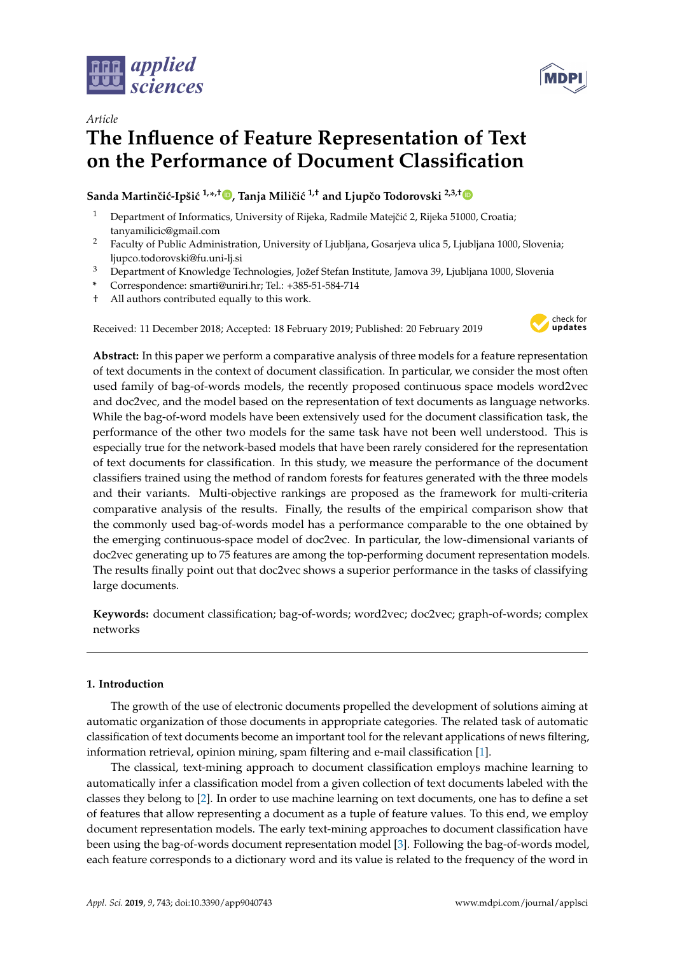



# **The Influence of Feature Representation of Text on the Performance of Document Classification**

# **Sanda Martinˇci´c-Ipši´c 1,\* ,† [,](https://orcid.org/0000-0002-1900-5333) Tanja Miliˇci´c 1,† and Ljupˇco Todorovski 2,3,[†](https://orcid.org/0000-0003-0037-9260)**

- <sup>1</sup> Department of Informatics, University of Rijeka, Radmile Matejčić 2, Rijeka 51000, Croatia; tanyamilicic@gmail.com
- <sup>2</sup> Faculty of Public Administration, University of Ljubljana, Gosarjeva ulica 5, Ljubljana 1000, Slovenia; ljupco.todorovski@fu.uni-lj.si
- <sup>3</sup> Department of Knowledge Technologies, Jožef Stefan Institute, Jamova 39, Ljubljana 1000, Slovenia
- **\*** Correspondence: smarti@uniri.hr; Tel.: +385-51-584-714
- † All authors contributed equally to this work.

Received: 11 December 2018; Accepted: 18 February 2019; Published: 20 February 2019



**Abstract:** In this paper we perform a comparative analysis of three models for a feature representation of text documents in the context of document classification. In particular, we consider the most often used family of bag-of-words models, the recently proposed continuous space models word2vec and doc2vec, and the model based on the representation of text documents as language networks. While the bag-of-word models have been extensively used for the document classification task, the performance of the other two models for the same task have not been well understood. This is especially true for the network-based models that have been rarely considered for the representation of text documents for classification. In this study, we measure the performance of the document classifiers trained using the method of random forests for features generated with the three models and their variants. Multi-objective rankings are proposed as the framework for multi-criteria comparative analysis of the results. Finally, the results of the empirical comparison show that the commonly used bag-of-words model has a performance comparable to the one obtained by the emerging continuous-space model of doc2vec. In particular, the low-dimensional variants of doc2vec generating up to 75 features are among the top-performing document representation models. The results finally point out that doc2vec shows a superior performance in the tasks of classifying large documents.

**Keywords:** document classification; bag-of-words; word2vec; doc2vec; graph-of-words; complex networks

# **1. Introduction**

The growth of the use of electronic documents propelled the development of solutions aiming at automatic organization of those documents in appropriate categories. The related task of automatic classification of text documents become an important tool for the relevant applications of news filtering, information retrieval, opinion mining, spam filtering and e-mail classification [\[1\]](#page-22-0).

The classical, text-mining approach to document classification employs machine learning to automatically infer a classification model from a given collection of text documents labeled with the classes they belong to [\[2\]](#page-22-1). In order to use machine learning on text documents, one has to define a set of features that allow representing a document as a tuple of feature values. To this end, we employ document representation models. The early text-mining approaches to document classification have been using the bag-of-words document representation model [\[3\]](#page-22-2). Following the bag-of-words model, each feature corresponds to a dictionary word and its value is related to the frequency of the word in

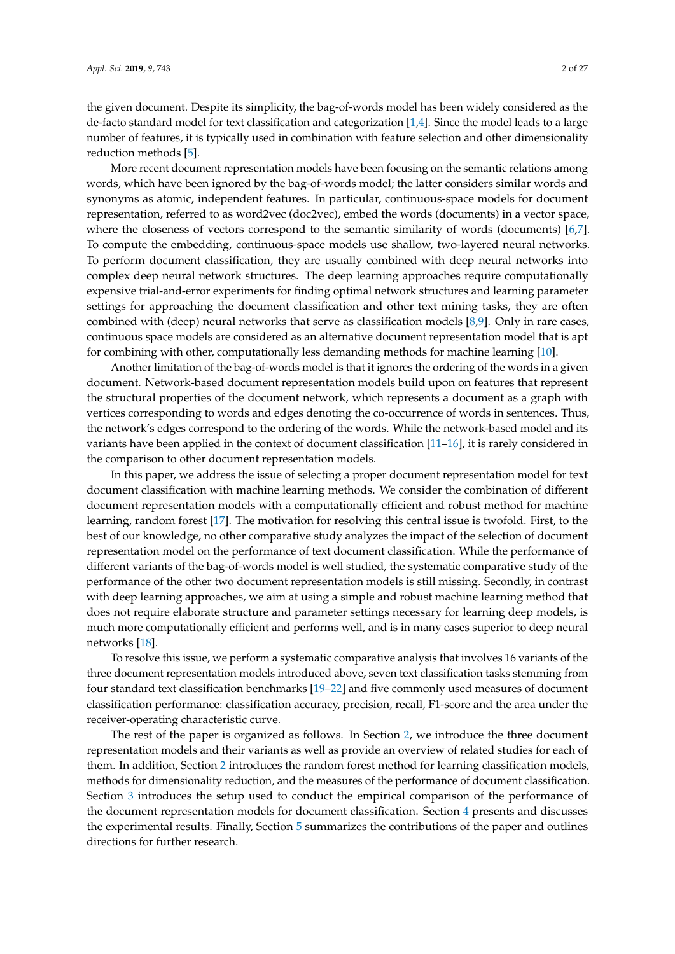the given document. Despite its simplicity, the bag-of-words model has been widely considered as the de-facto standard model for text classification and categorization  $[1,4]$  $[1,4]$ . Since the model leads to a large number of features, it is typically used in combination with feature selection and other dimensionality reduction methods [\[5\]](#page-22-4).

More recent document representation models have been focusing on the semantic relations among words, which have been ignored by the bag-of-words model; the latter considers similar words and synonyms as atomic, independent features. In particular, continuous-space models for document representation, referred to as word2vec (doc2vec), embed the words (documents) in a vector space, where the closeness of vectors correspond to the semantic similarity of words (documents) [\[6,](#page-22-5)[7\]](#page-22-6). To compute the embedding, continuous-space models use shallow, two-layered neural networks. To perform document classification, they are usually combined with deep neural networks into complex deep neural network structures. The deep learning approaches require computationally expensive trial-and-error experiments for finding optimal network structures and learning parameter settings for approaching the document classification and other text mining tasks, they are often combined with (deep) neural networks that serve as classification models [\[8](#page-22-7)[,9\]](#page-22-8). Only in rare cases, continuous space models are considered as an alternative document representation model that is apt for combining with other, computationally less demanding methods for machine learning [\[10\]](#page-22-9).

Another limitation of the bag-of-words model is that it ignores the ordering of the words in a given document. Network-based document representation models build upon on features that represent the structural properties of the document network, which represents a document as a graph with vertices corresponding to words and edges denoting the co-occurrence of words in sentences. Thus, the network's edges correspond to the ordering of the words. While the network-based model and its variants have been applied in the context of document classification [\[11–](#page-22-10)[16\]](#page-23-0), it is rarely considered in the comparison to other document representation models.

In this paper, we address the issue of selecting a proper document representation model for text document classification with machine learning methods. We consider the combination of different document representation models with a computationally efficient and robust method for machine learning, random forest [\[17\]](#page-23-1). The motivation for resolving this central issue is twofold. First, to the best of our knowledge, no other comparative study analyzes the impact of the selection of document representation model on the performance of text document classification. While the performance of different variants of the bag-of-words model is well studied, the systematic comparative study of the performance of the other two document representation models is still missing. Secondly, in contrast with deep learning approaches, we aim at using a simple and robust machine learning method that does not require elaborate structure and parameter settings necessary for learning deep models, is much more computationally efficient and performs well, and is in many cases superior to deep neural networks [\[18\]](#page-23-2).

To resolve this issue, we perform a systematic comparative analysis that involves 16 variants of the three document representation models introduced above, seven text classification tasks stemming from four standard text classification benchmarks [\[19–](#page-23-3)[22\]](#page-23-4) and five commonly used measures of document classification performance: classification accuracy, precision, recall, F1-score and the area under the receiver-operating characteristic curve.

The rest of the paper is organized as follows. In Section [2,](#page-2-0) we introduce the three document representation models and their variants as well as provide an overview of related studies for each of them. In addition, Section [2](#page-2-0) introduces the random forest method for learning classification models, methods for dimensionality reduction, and the measures of the performance of document classification. Section [3](#page-6-0) introduces the setup used to conduct the empirical comparison of the performance of the document representation models for document classification. Section [4](#page-11-0) presents and discusses the experimental results. Finally, Section [5](#page-17-0) summarizes the contributions of the paper and outlines directions for further research.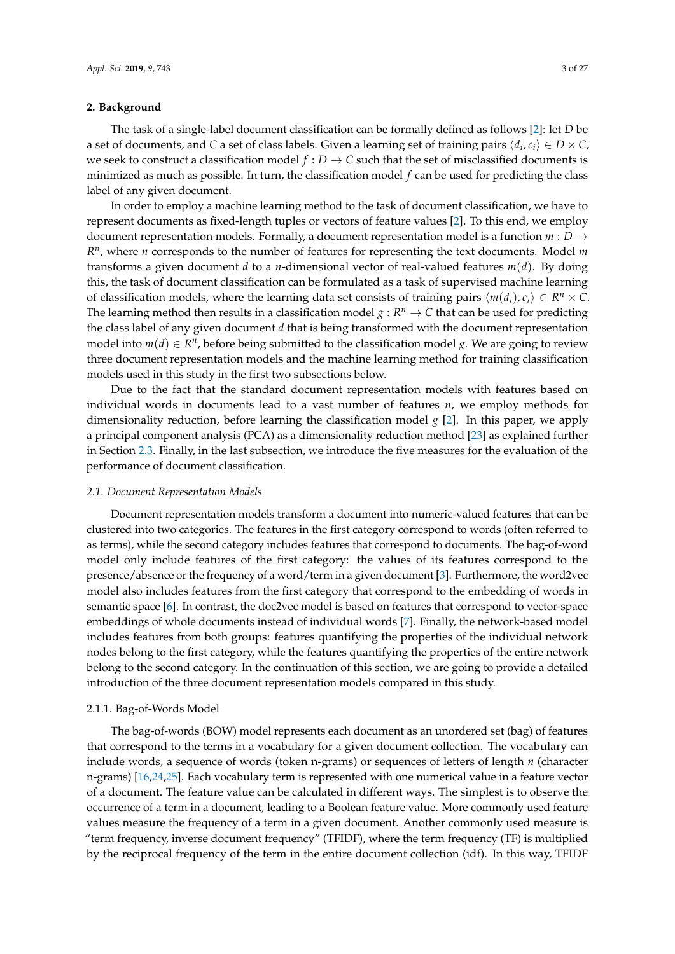# <span id="page-2-0"></span>**2. Background**

The task of a single-label document classification can be formally defined as follows [\[2\]](#page-22-1): let *D* be a set of documents, and *C* a set of class labels. Given a learning set of training pairs  $\langle d_i, c_i \rangle \in D \times C$ , we seek to construct a classification model  $f : D \to C$  such that the set of misclassified documents is minimized as much as possible. In turn, the classification model *f* can be used for predicting the class label of any given document.

In order to employ a machine learning method to the task of document classification, we have to represent documents as fixed-length tuples or vectors of feature values [\[2\]](#page-22-1). To this end, we employ document representation models. Formally, a document representation model is a function  $m : D \rightarrow$ *R n* , where *n* corresponds to the number of features for representing the text documents. Model *m* transforms a given document *d* to a *n*-dimensional vector of real-valued features *m*(*d*). By doing this, the task of document classification can be formulated as a task of supervised machine learning of classification models, where the learning data set consists of training pairs  $\langle m(d_i), c_i \rangle \in R^n \times C$ . The learning method then results in a classification model  $g: R^n \to C$  that can be used for predicting the class label of any given document *d* that is being transformed with the document representation model into  $m(d) \in R^n$ , before being submitted to the classification model *g*. We are going to review three document representation models and the machine learning method for training classification models used in this study in the first two subsections below.

Due to the fact that the standard document representation models with features based on individual words in documents lead to a vast number of features *n*, we employ methods for dimensionality reduction, before learning the classification model *g* [\[2\]](#page-22-1). In this paper, we apply a principal component analysis (PCA) as a dimensionality reduction method [\[23\]](#page-23-5) as explained further in Section [2.3.](#page-5-0) Finally, in the last subsection, we introduce the five measures for the evaluation of the performance of document classification.

#### <span id="page-2-1"></span>*2.1. Document Representation Models*

Document representation models transform a document into numeric-valued features that can be clustered into two categories. The features in the first category correspond to words (often referred to as terms), while the second category includes features that correspond to documents. The bag-of-word model only include features of the first category: the values of its features correspond to the presence/absence or the frequency of a word/term in a given document [\[3\]](#page-22-2). Furthermore, the word2vec model also includes features from the first category that correspond to the embedding of words in semantic space [\[6\]](#page-22-5). In contrast, the doc2vec model is based on features that correspond to vector-space embeddings of whole documents instead of individual words [\[7\]](#page-22-6). Finally, the network-based model includes features from both groups: features quantifying the properties of the individual network nodes belong to the first category, while the features quantifying the properties of the entire network belong to the second category. In the continuation of this section, we are going to provide a detailed introduction of the three document representation models compared in this study.

#### 2.1.1. Bag-of-Words Model

The bag-of-words (BOW) model represents each document as an unordered set (bag) of features that correspond to the terms in a vocabulary for a given document collection. The vocabulary can include words, a sequence of words (token n-grams) or sequences of letters of length *n* (character n-grams) [\[16,](#page-23-0)[24,](#page-23-6)[25\]](#page-23-7). Each vocabulary term is represented with one numerical value in a feature vector of a document. The feature value can be calculated in different ways. The simplest is to observe the occurrence of a term in a document, leading to a Boolean feature value. More commonly used feature values measure the frequency of a term in a given document. Another commonly used measure is "term frequency, inverse document frequency" (TFIDF), where the term frequency (TF) is multiplied by the reciprocal frequency of the term in the entire document collection (idf). In this way, TFIDF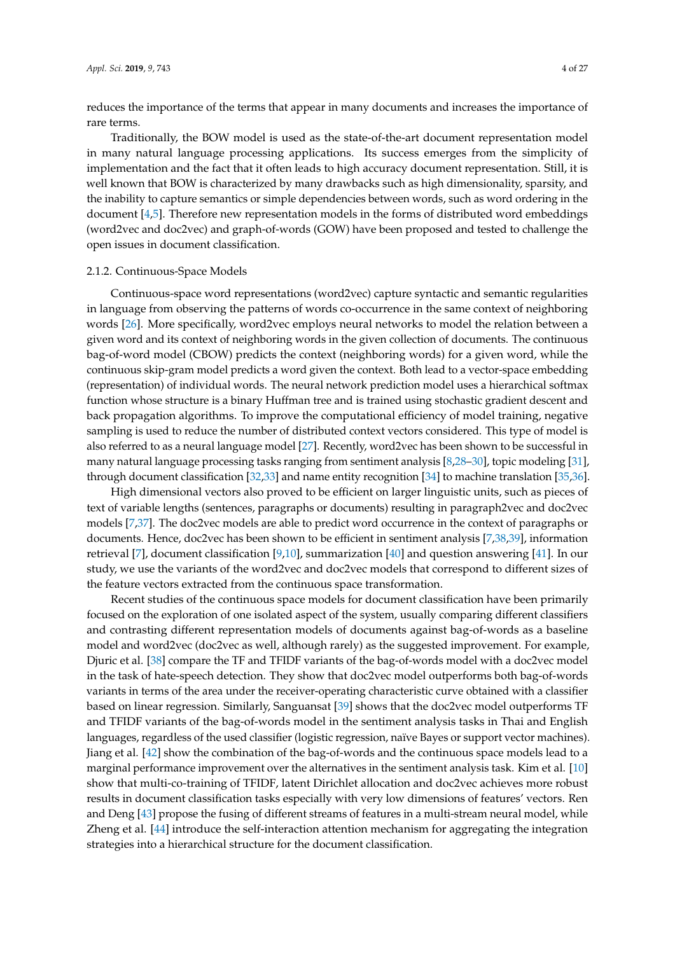reduces the importance of the terms that appear in many documents and increases the importance of rare terms.

Traditionally, the BOW model is used as the state-of-the-art document representation model in many natural language processing applications. Its success emerges from the simplicity of implementation and the fact that it often leads to high accuracy document representation. Still, it is well known that BOW is characterized by many drawbacks such as high dimensionality, sparsity, and the inability to capture semantics or simple dependencies between words, such as word ordering in the document [\[4](#page-22-3)[,5\]](#page-22-4). Therefore new representation models in the forms of distributed word embeddings (word2vec and doc2vec) and graph-of-words (GOW) have been proposed and tested to challenge the open issues in document classification.

#### 2.1.2. Continuous-Space Models

Continuous-space word representations (word2vec) capture syntactic and semantic regularities in language from observing the patterns of words co-occurrence in the same context of neighboring words [\[26\]](#page-23-8). More specifically, word2vec employs neural networks to model the relation between a given word and its context of neighboring words in the given collection of documents. The continuous bag-of-word model (CBOW) predicts the context (neighboring words) for a given word, while the continuous skip-gram model predicts a word given the context. Both lead to a vector-space embedding (representation) of individual words. The neural network prediction model uses a hierarchical softmax function whose structure is a binary Huffman tree and is trained using stochastic gradient descent and back propagation algorithms. To improve the computational efficiency of model training, negative sampling is used to reduce the number of distributed context vectors considered. This type of model is also referred to as a neural language model [\[27\]](#page-23-9). Recently, word2vec has been shown to be successful in many natural language processing tasks ranging from sentiment analysis [\[8](#page-22-7)[,28](#page-23-10)[–30\]](#page-23-11), topic modeling [\[31\]](#page-23-12), through document classification [\[32](#page-23-13)[,33\]](#page-24-0) and name entity recognition [\[34\]](#page-24-1) to machine translation [\[35](#page-24-2)[,36\]](#page-24-3).

High dimensional vectors also proved to be efficient on larger linguistic units, such as pieces of text of variable lengths (sentences, paragraphs or documents) resulting in paragraph2vec and doc2vec models [\[7](#page-22-6)[,37\]](#page-24-4). The doc2vec models are able to predict word occurrence in the context of paragraphs or documents. Hence, doc2vec has been shown to be efficient in sentiment analysis [\[7,](#page-22-6)[38,](#page-24-5)[39\]](#page-24-6), information retrieval [\[7\]](#page-22-6), document classification [\[9](#page-22-8)[,10\]](#page-22-9), summarization [\[40\]](#page-24-7) and question answering [\[41\]](#page-24-8). In our study, we use the variants of the word2vec and doc2vec models that correspond to different sizes of the feature vectors extracted from the continuous space transformation.

Recent studies of the continuous space models for document classification have been primarily focused on the exploration of one isolated aspect of the system, usually comparing different classifiers and contrasting different representation models of documents against bag-of-words as a baseline model and word2vec (doc2vec as well, although rarely) as the suggested improvement. For example, Djuric et al. [\[38\]](#page-24-5) compare the TF and TFIDF variants of the bag-of-words model with a doc2vec model in the task of hate-speech detection. They show that doc2vec model outperforms both bag-of-words variants in terms of the area under the receiver-operating characteristic curve obtained with a classifier based on linear regression. Similarly, Sanguansat [\[39\]](#page-24-6) shows that the doc2vec model outperforms TF and TFIDF variants of the bag-of-words model in the sentiment analysis tasks in Thai and English languages, regardless of the used classifier (logistic regression, naïve Bayes or support vector machines). Jiang et al. [\[42\]](#page-24-9) show the combination of the bag-of-words and the continuous space models lead to a marginal performance improvement over the alternatives in the sentiment analysis task. Kim et al. [\[10\]](#page-22-9) show that multi-co-training of TFIDF, latent Dirichlet allocation and doc2vec achieves more robust results in document classification tasks especially with very low dimensions of features' vectors. Ren and Deng [\[43\]](#page-24-10) propose the fusing of different streams of features in a multi-stream neural model, while Zheng et al. [\[44\]](#page-24-11) introduce the self-interaction attention mechanism for aggregating the integration strategies into a hierarchical structure for the document classification.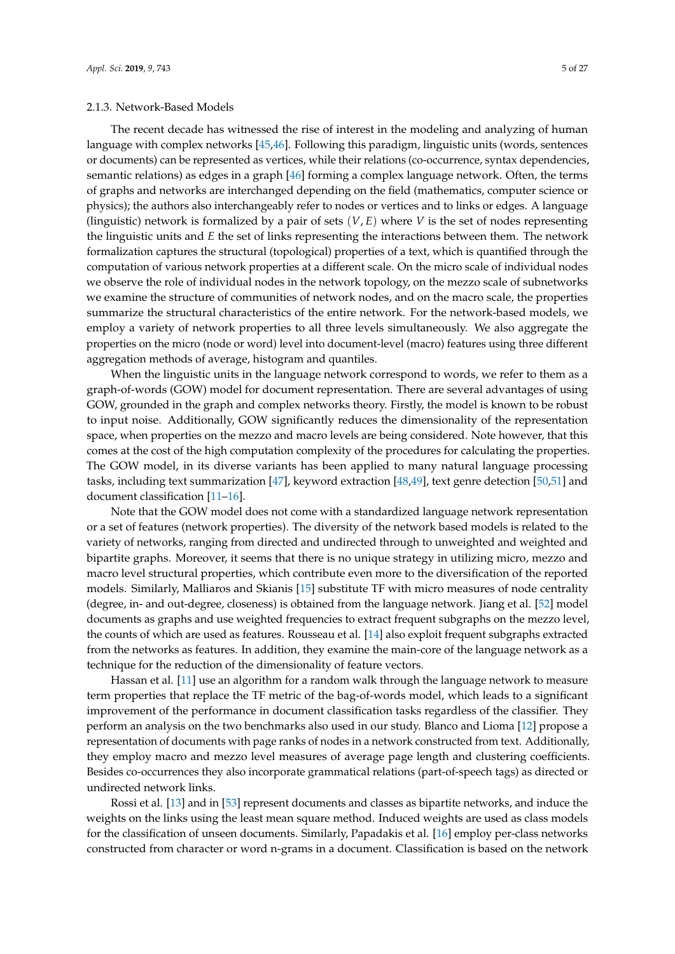# 2.1.3. Network-Based Models

The recent decade has witnessed the rise of interest in the modeling and analyzing of human language with complex networks [\[45](#page-24-12)[,46\]](#page-24-13). Following this paradigm, linguistic units (words, sentences or documents) can be represented as vertices, while their relations (co-occurrence, syntax dependencies, semantic relations) as edges in a graph [\[46\]](#page-24-13) forming a complex language network. Often, the terms of graphs and networks are interchanged depending on the field (mathematics, computer science or physics); the authors also interchangeably refer to nodes or vertices and to links or edges. A language (linguistic) network is formalized by a pair of sets (*V*, *E*) where *V* is the set of nodes representing the linguistic units and *E* the set of links representing the interactions between them. The network formalization captures the structural (topological) properties of a text, which is quantified through the computation of various network properties at a different scale. On the micro scale of individual nodes we observe the role of individual nodes in the network topology, on the mezzo scale of subnetworks we examine the structure of communities of network nodes, and on the macro scale, the properties summarize the structural characteristics of the entire network. For the network-based models, we employ a variety of network properties to all three levels simultaneously. We also aggregate the properties on the micro (node or word) level into document-level (macro) features using three different aggregation methods of average, histogram and quantiles.

When the linguistic units in the language network correspond to words, we refer to them as a graph-of-words (GOW) model for document representation. There are several advantages of using GOW, grounded in the graph and complex networks theory. Firstly, the model is known to be robust to input noise. Additionally, GOW significantly reduces the dimensionality of the representation space, when properties on the mezzo and macro levels are being considered. Note however, that this comes at the cost of the high computation complexity of the procedures for calculating the properties. The GOW model, in its diverse variants has been applied to many natural language processing tasks, including text summarization [\[47\]](#page-24-14), keyword extraction [\[48](#page-24-15)[,49\]](#page-24-16), text genre detection [\[50,](#page-24-17)[51\]](#page-25-0) and document classification [\[11–](#page-22-10)[16\]](#page-23-0).

Note that the GOW model does not come with a standardized language network representation or a set of features (network properties). The diversity of the network based models is related to the variety of networks, ranging from directed and undirected through to unweighted and weighted and bipartite graphs. Moreover, it seems that there is no unique strategy in utilizing micro, mezzo and macro level structural properties, which contribute even more to the diversification of the reported models. Similarly, Malliaros and Skianis [\[15\]](#page-23-14) substitute TF with micro measures of node centrality (degree, in- and out-degree, closeness) is obtained from the language network. Jiang et al. [\[52\]](#page-25-1) model documents as graphs and use weighted frequencies to extract frequent subgraphs on the mezzo level, the counts of which are used as features. Rousseau et al. [\[14\]](#page-23-15) also exploit frequent subgraphs extracted from the networks as features. In addition, they examine the main-core of the language network as a technique for the reduction of the dimensionality of feature vectors.

Hassan et al. [\[11\]](#page-22-10) use an algorithm for a random walk through the language network to measure term properties that replace the TF metric of the bag-of-words model, which leads to a significant improvement of the performance in document classification tasks regardless of the classifier. They perform an analysis on the two benchmarks also used in our study. Blanco and Lioma [\[12\]](#page-22-11) propose a representation of documents with page ranks of nodes in a network constructed from text. Additionally, they employ macro and mezzo level measures of average page length and clustering coefficients. Besides co-occurrences they also incorporate grammatical relations (part-of-speech tags) as directed or undirected network links.

Rossi et al. [\[13\]](#page-23-16) and in [\[53\]](#page-25-2) represent documents and classes as bipartite networks, and induce the weights on the links using the least mean square method. Induced weights are used as class models for the classification of unseen documents. Similarly, Papadakis et al. [\[16\]](#page-23-0) employ per-class networks constructed from character or word n-grams in a document. Classification is based on the network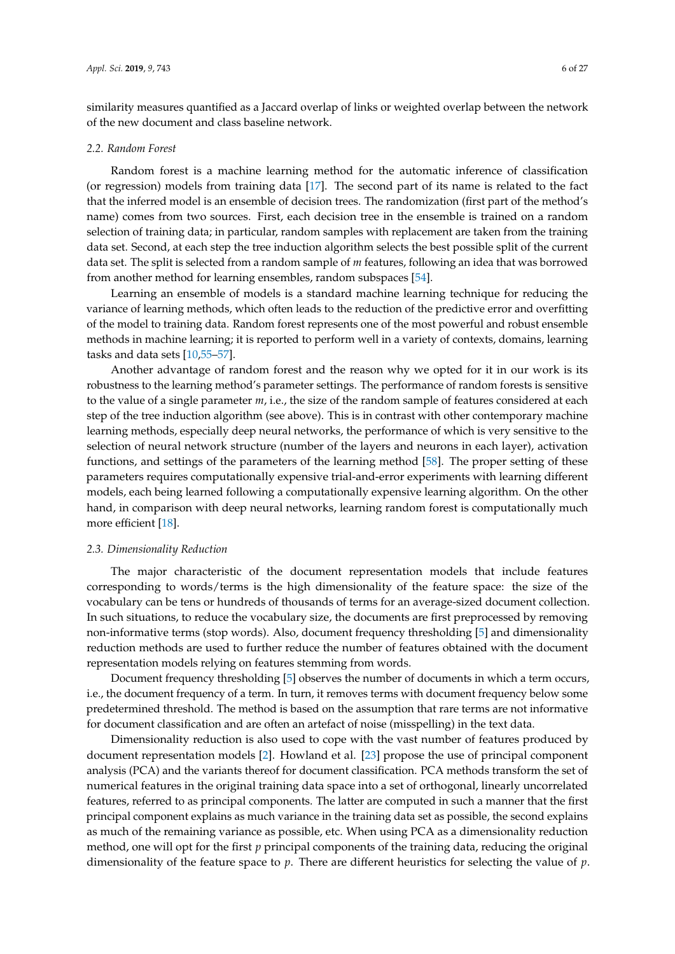similarity measures quantified as a Jaccard overlap of links or weighted overlap between the network of the new document and class baseline network.

#### <span id="page-5-1"></span>*2.2. Random Forest*

Random forest is a machine learning method for the automatic inference of classification (or regression) models from training data [\[17\]](#page-23-1). The second part of its name is related to the fact that the inferred model is an ensemble of decision trees. The randomization (first part of the method's name) comes from two sources. First, each decision tree in the ensemble is trained on a random selection of training data; in particular, random samples with replacement are taken from the training data set. Second, at each step the tree induction algorithm selects the best possible split of the current data set. The split is selected from a random sample of *m* features, following an idea that was borrowed from another method for learning ensembles, random subspaces [\[54\]](#page-25-3).

Learning an ensemble of models is a standard machine learning technique for reducing the variance of learning methods, which often leads to the reduction of the predictive error and overfitting of the model to training data. Random forest represents one of the most powerful and robust ensemble methods in machine learning; it is reported to perform well in a variety of contexts, domains, learning tasks and data sets [\[10,](#page-22-9)[55](#page-25-4)[–57\]](#page-25-5).

Another advantage of random forest and the reason why we opted for it in our work is its robustness to the learning method's parameter settings. The performance of random forests is sensitive to the value of a single parameter *m*, i.e., the size of the random sample of features considered at each step of the tree induction algorithm (see above). This is in contrast with other contemporary machine learning methods, especially deep neural networks, the performance of which is very sensitive to the selection of neural network structure (number of the layers and neurons in each layer), activation functions, and settings of the parameters of the learning method [\[58\]](#page-25-6). The proper setting of these parameters requires computationally expensive trial-and-error experiments with learning different models, each being learned following a computationally expensive learning algorithm. On the other hand, in comparison with deep neural networks, learning random forest is computationally much more efficient [\[18\]](#page-23-2).

#### <span id="page-5-0"></span>*2.3. Dimensionality Reduction*

The major characteristic of the document representation models that include features corresponding to words/terms is the high dimensionality of the feature space: the size of the vocabulary can be tens or hundreds of thousands of terms for an average-sized document collection. In such situations, to reduce the vocabulary size, the documents are first preprocessed by removing non-informative terms (stop words). Also, document frequency thresholding [\[5\]](#page-22-4) and dimensionality reduction methods are used to further reduce the number of features obtained with the document representation models relying on features stemming from words.

Document frequency thresholding [\[5\]](#page-22-4) observes the number of documents in which a term occurs, i.e., the document frequency of a term. In turn, it removes terms with document frequency below some predetermined threshold. The method is based on the assumption that rare terms are not informative for document classification and are often an artefact of noise (misspelling) in the text data.

Dimensionality reduction is also used to cope with the vast number of features produced by document representation models [\[2\]](#page-22-1). Howland et al. [\[23\]](#page-23-5) propose the use of principal component analysis (PCA) and the variants thereof for document classification. PCA methods transform the set of numerical features in the original training data space into a set of orthogonal, linearly uncorrelated features, referred to as principal components. The latter are computed in such a manner that the first principal component explains as much variance in the training data set as possible, the second explains as much of the remaining variance as possible, etc. When using PCA as a dimensionality reduction method, one will opt for the first *p* principal components of the training data, reducing the original dimensionality of the feature space to *p*. There are different heuristics for selecting the value of *p*.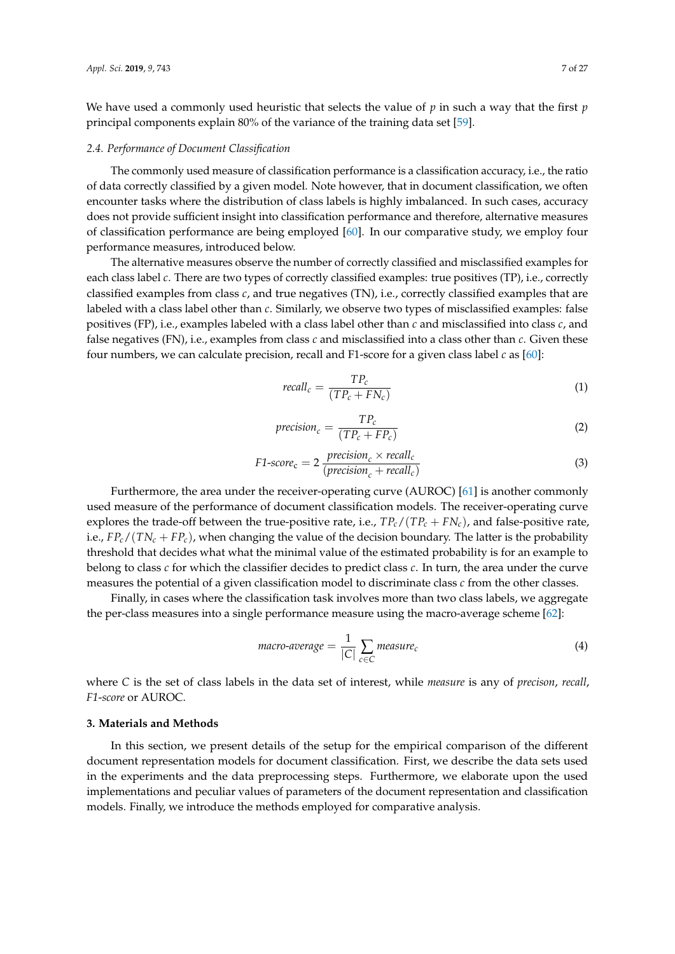We have used a commonly used heuristic that selects the value of *p* in such a way that the first *p* principal components explain 80% of the variance of the training data set [\[59\]](#page-25-7).

#### *2.4. Performance of Document Classification*

The commonly used measure of classification performance is a classification accuracy, i.e., the ratio of data correctly classified by a given model. Note however, that in document classification, we often encounter tasks where the distribution of class labels is highly imbalanced. In such cases, accuracy does not provide sufficient insight into classification performance and therefore, alternative measures of classification performance are being employed [\[60\]](#page-25-8). In our comparative study, we employ four performance measures, introduced below.

The alternative measures observe the number of correctly classified and misclassified examples for each class label *c*. There are two types of correctly classified examples: true positives (TP), i.e., correctly classified examples from class *c*, and true negatives (TN), i.e., correctly classified examples that are labeled with a class label other than *c*. Similarly, we observe two types of misclassified examples: false positives (FP), i.e., examples labeled with a class label other than *c* and misclassified into class *c*, and false negatives (FN), i.e., examples from class *c* and misclassified into a class other than *c*. Given these four numbers, we can calculate precision, recall and F1-score for a given class label *c* as [\[60\]](#page-25-8):

$$
recall_c = \frac{TP_c}{(TP_c + FN_c)}
$$
\n<sup>(1)</sup>

$$
precision_c = \frac{TP_c}{(TP_c + FP_c)}
$$
\n(2)

$$
F1-score_c = 2 \frac{precision_c \times recall_c}{(precision_c + recall_c)}
$$
(3)

Furthermore, the area under the receiver-operating curve (AUROC) [\[61\]](#page-25-9) is another commonly used measure of the performance of document classification models. The receiver-operating curve explores the trade-off between the true-positive rate, i.e.,  $TP_c/(TP_c + FN_c)$ , and false-positive rate, i.e.,  $FP_c/(TN_c + FP_c)$ , when changing the value of the decision boundary. The latter is the probability threshold that decides what what the minimal value of the estimated probability is for an example to belong to class *c* for which the classifier decides to predict class *c*. In turn, the area under the curve measures the potential of a given classification model to discriminate class *c* from the other classes.

Finally, in cases where the classification task involves more than two class labels, we aggregate the per-class measures into a single performance measure using the macro-average scheme [\[62\]](#page-25-10):

$$
macro-average = \frac{1}{|C|} \sum_{c \in C} measure_c
$$
\n(4)

where *C* is the set of class labels in the data set of interest, while *measure* is any of *precison*, *recall*, *F1*-*score* or AUROC.

# <span id="page-6-0"></span>**3. Materials and Methods**

In this section, we present details of the setup for the empirical comparison of the different document representation models for document classification. First, we describe the data sets used in the experiments and the data preprocessing steps. Furthermore, we elaborate upon the used implementations and peculiar values of parameters of the document representation and classification models. Finally, we introduce the methods employed for comparative analysis.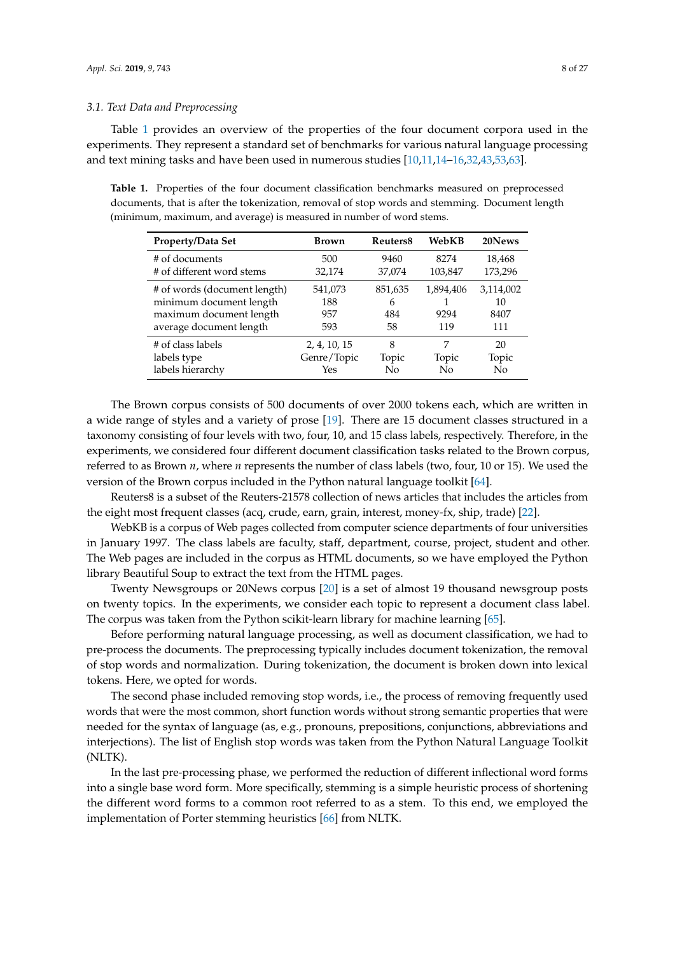Table [1](#page-7-0) provides an overview of the properties of the four document corpora used in the experiments. They represent a standard set of benchmarks for various natural language processing and text mining tasks and have been used in numerous studies [\[10](#page-22-9)[,11](#page-22-10)[,14](#page-23-15)[–16,](#page-23-0)[32,](#page-23-13)[43,](#page-24-10)[53,](#page-25-2)[63\]](#page-25-11).

<span id="page-7-0"></span>**Table 1.** Properties of the four document classification benchmarks measured on preprocessed documents, that is after the tokenization, removal of stop words and stemming. Document length (minimum, maximum, and average) is measured in number of word stems.

| <b>Property/Data Set</b>                                                                                      | <b>Brown</b>                 | Reuters <sub>8</sub>      | WebKB                    | 20News                         |
|---------------------------------------------------------------------------------------------------------------|------------------------------|---------------------------|--------------------------|--------------------------------|
| # of documents                                                                                                | 500                          | 9460                      | 8274                     | 18,468                         |
| # of different word stems                                                                                     | 32,174                       | 37,074                    | 103,847                  | 173,296                        |
| # of words (document length)<br>minimum document length<br>maximum document length<br>average document length | 541,073<br>188<br>957<br>593 | 851,635<br>6<br>484<br>58 | 1,894,406<br>9294<br>119 | 3,114,002<br>10<br>8407<br>111 |
| # of class labels                                                                                             | 2, 4, 10, 15                 | 8                         | 7                        | 20                             |
| labels type                                                                                                   | Genre/Topic                  | Topic                     | Topic                    | Topic                          |
| labels hierarchy                                                                                              | Yes                          | Nο                        | No                       | No                             |

The Brown corpus consists of 500 documents of over 2000 tokens each, which are written in a wide range of styles and a variety of prose [\[19\]](#page-23-3). There are 15 document classes structured in a taxonomy consisting of four levels with two, four, 10, and 15 class labels, respectively. Therefore, in the experiments, we considered four different document classification tasks related to the Brown corpus, referred to as Brown *n*, where *n* represents the number of class labels (two, four, 10 or 15). We used the version of the Brown corpus included in the Python natural language toolkit [\[64\]](#page-25-12).

Reuters8 is a subset of the Reuters-21578 collection of news articles that includes the articles from the eight most frequent classes (acq, crude, earn, grain, interest, money-fx, ship, trade) [\[22\]](#page-23-4).

WebKB is a corpus of Web pages collected from computer science departments of four universities in January 1997. The class labels are faculty, staff, department, course, project, student and other. The Web pages are included in the corpus as HTML documents, so we have employed the Python library Beautiful Soup to extract the text from the HTML pages.

Twenty Newsgroups or 20News corpus [\[20\]](#page-23-17) is a set of almost 19 thousand newsgroup posts on twenty topics. In the experiments, we consider each topic to represent a document class label. The corpus was taken from the Python scikit-learn library for machine learning [\[65\]](#page-25-13).

Before performing natural language processing, as well as document classification, we had to pre-process the documents. The preprocessing typically includes document tokenization, the removal of stop words and normalization. During tokenization, the document is broken down into lexical tokens. Here, we opted for words.

The second phase included removing stop words, i.e., the process of removing frequently used words that were the most common, short function words without strong semantic properties that were needed for the syntax of language (as, e.g., pronouns, prepositions, conjunctions, abbreviations and interjections). The list of English stop words was taken from the Python Natural Language Toolkit (NLTK).

In the last pre-processing phase, we performed the reduction of different inflectional word forms into a single base word form. More specifically, stemming is a simple heuristic process of shortening the different word forms to a common root referred to as a stem. To this end, we employed the implementation of Porter stemming heuristics [\[66\]](#page-25-14) from NLTK.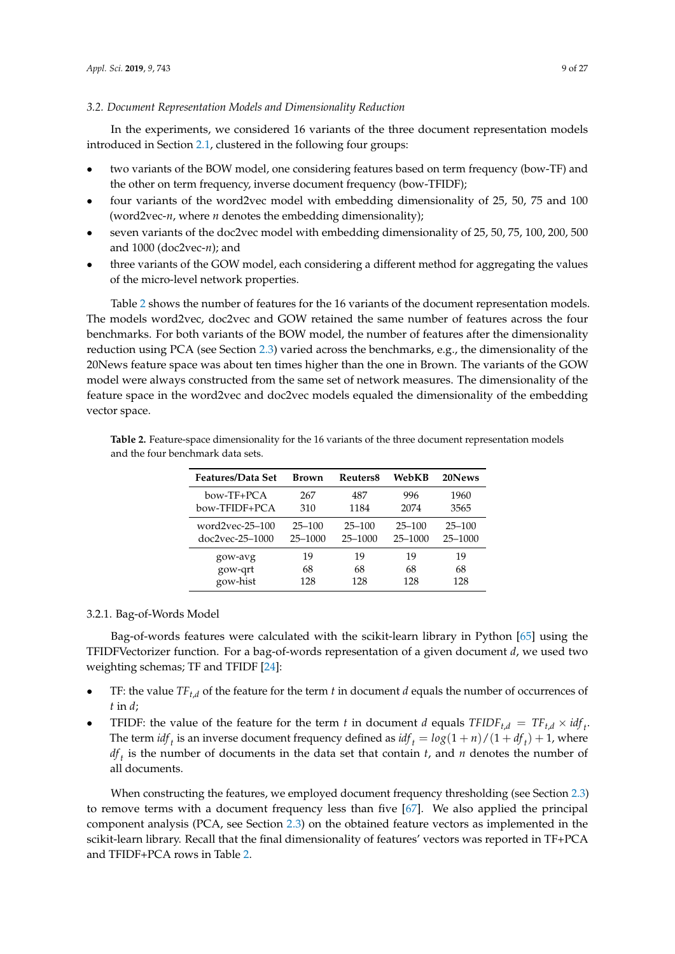# *3.2. Document Representation Models and Dimensionality Reduction*

In the experiments, we considered 16 variants of the three document representation models introduced in Section [2.1,](#page-2-1) clustered in the following four groups:

- two variants of the BOW model, one considering features based on term frequency (bow-TF) and the other on term frequency, inverse document frequency (bow-TFIDF);
- four variants of the word2vec model with embedding dimensionality of 25, 50, 75 and 100 (word2vec-*n*, where *n* denotes the embedding dimensionality);
- seven variants of the doc2vec model with embedding dimensionality of 25, 50, 75, 100, 200, 500 and 1000 (doc2vec-*n*); and
- three variants of the GOW model, each considering a different method for aggregating the values of the micro-level network properties.

Table [2](#page-8-0) shows the number of features for the 16 variants of the document representation models. The models word2vec, doc2vec and GOW retained the same number of features across the four benchmarks. For both variants of the BOW model, the number of features after the dimensionality reduction using PCA (see Section [2.3\)](#page-5-0) varied across the benchmarks, e.g., the dimensionality of the 20News feature space was about ten times higher than the one in Brown. The variants of the GOW model were always constructed from the same set of network measures. The dimensionality of the feature space in the word2vec and doc2vec models equaled the dimensionality of the embedding vector space.

| <b>Features/Data Set</b> | Brown      | Reuters8   | WebKB      | 20News     |
|--------------------------|------------|------------|------------|------------|
| bow-TF+PCA               | 267        | 487        | 996        | 1960       |
| bow-TFIDF+PCA            | 310        | 1184       | 2074       | 3565       |
| $word2vec-25-100$        | $25 - 100$ | $25 - 100$ | $25 - 100$ | $25 - 100$ |
| doc2vec-25–1000          | 25-1000    | 25-1000    | 25-1000    | 25-1000    |
| gow-avg                  | 19         | 19         | 19         | 19         |
| gow-qrt                  | 68         | 68         | 68         | 68         |
| gow-hist                 | 128        | 128        | 128        | 128        |

<span id="page-8-0"></span>**Table 2.** Feature-space dimensionality for the 16 variants of the three document representation models and the four benchmark data sets.

#### 3.2.1. Bag-of-Words Model

Bag-of-words features were calculated with the scikit-learn library in Python [\[65\]](#page-25-13) using the TFIDFVectorizer function. For a bag-of-words representation of a given document *d*, we used two weighting schemas; TF and TFIDF [\[24\]](#page-23-6):

- TF: the value *TFt*,*<sup>d</sup>* of the feature for the term *t* in document *d* equals the number of occurrences of *t* in *d*;
- TFIDF: the value of the feature for the term *t* in document *d* equals  $TFIDF_{t,d} = TF_{t,d} \times idf_t$ . The term  $\int df_t$  is an inverse document frequency defined as  $\int df_t = \log(1+n)/(1+df_t) + 1$ , where *df t* is the number of documents in the data set that contain *t*, and *n* denotes the number of all documents.

When constructing the features, we employed document frequency thresholding (see Section [2.3\)](#page-5-0) to remove terms with a document frequency less than five [\[67\]](#page-25-15). We also applied the principal component analysis (PCA, see Section [2.3\)](#page-5-0) on the obtained feature vectors as implemented in the scikit-learn library. Recall that the final dimensionality of features' vectors was reported in TF+PCA and TFIDF+PCA rows in Table [2.](#page-8-0)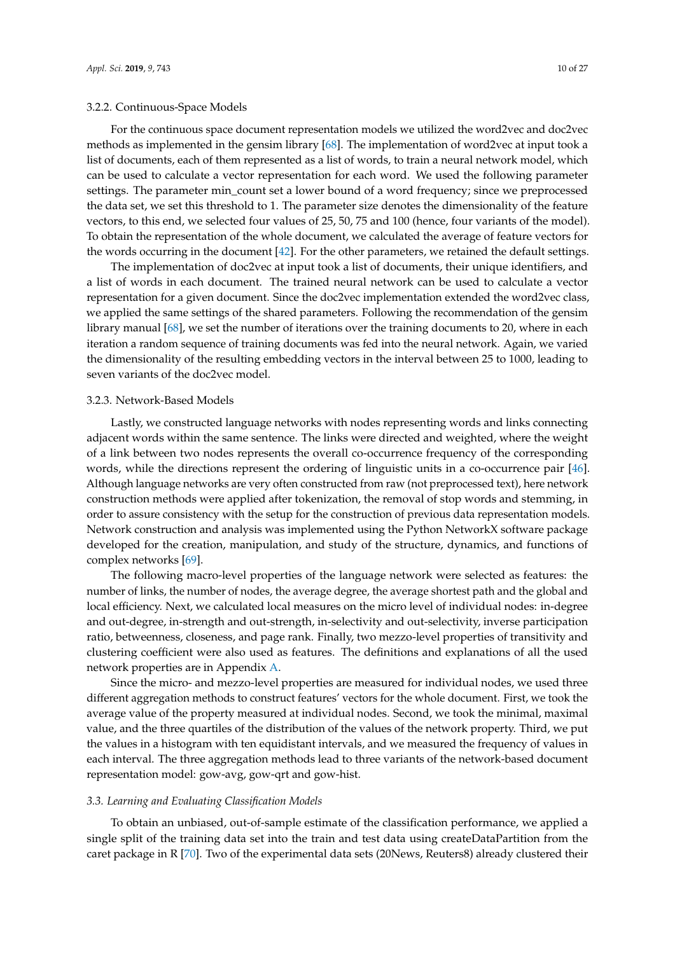# 3.2.2. Continuous-Space Models

For the continuous space document representation models we utilized the word2vec and doc2vec methods as implemented in the gensim library [\[68\]](#page-25-16). The implementation of word2vec at input took a list of documents, each of them represented as a list of words, to train a neural network model, which can be used to calculate a vector representation for each word. We used the following parameter settings. The parameter min\_count set a lower bound of a word frequency; since we preprocessed the data set, we set this threshold to 1. The parameter size denotes the dimensionality of the feature vectors, to this end, we selected four values of 25, 50, 75 and 100 (hence, four variants of the model). To obtain the representation of the whole document, we calculated the average of feature vectors for the words occurring in the document [\[42\]](#page-24-9). For the other parameters, we retained the default settings.

The implementation of doc2vec at input took a list of documents, their unique identifiers, and a list of words in each document. The trained neural network can be used to calculate a vector representation for a given document. Since the doc2vec implementation extended the word2vec class, we applied the same settings of the shared parameters. Following the recommendation of the gensim library manual [\[68\]](#page-25-16), we set the number of iterations over the training documents to 20, where in each iteration a random sequence of training documents was fed into the neural network. Again, we varied the dimensionality of the resulting embedding vectors in the interval between 25 to 1000, leading to seven variants of the doc2vec model.

#### 3.2.3. Network-Based Models

Lastly, we constructed language networks with nodes representing words and links connecting adjacent words within the same sentence. The links were directed and weighted, where the weight of a link between two nodes represents the overall co-occurrence frequency of the corresponding words, while the directions represent the ordering of linguistic units in a co-occurrence pair [\[46\]](#page-24-13). Although language networks are very often constructed from raw (not preprocessed text), here network construction methods were applied after tokenization, the removal of stop words and stemming, in order to assure consistency with the setup for the construction of previous data representation models. Network construction and analysis was implemented using the Python NetworkX software package developed for the creation, manipulation, and study of the structure, dynamics, and functions of complex networks [\[69\]](#page-25-17).

The following macro-level properties of the language network were selected as features: the number of links, the number of nodes, the average degree, the average shortest path and the global and local efficiency. Next, we calculated local measures on the micro level of individual nodes: in-degree and out-degree, in-strength and out-strength, in-selectivity and out-selectivity, inverse participation ratio, betweenness, closeness, and page rank. Finally, two mezzo-level properties of transitivity and clustering coefficient were also used as features. The definitions and explanations of all the used network properties are in Appendix [A.](#page-19-0)

Since the micro- and mezzo-level properties are measured for individual nodes, we used three different aggregation methods to construct features' vectors for the whole document. First, we took the average value of the property measured at individual nodes. Second, we took the minimal, maximal value, and the three quartiles of the distribution of the values of the network property. Third, we put the values in a histogram with ten equidistant intervals, and we measured the frequency of values in each interval. The three aggregation methods lead to three variants of the network-based document representation model: gow-avg, gow-qrt and gow-hist.

#### *3.3. Learning and Evaluating Classification Models*

To obtain an unbiased, out-of-sample estimate of the classification performance, we applied a single split of the training data set into the train and test data using createDataPartition from the caret package in R [\[70\]](#page-25-18). Two of the experimental data sets (20News, Reuters8) already clustered their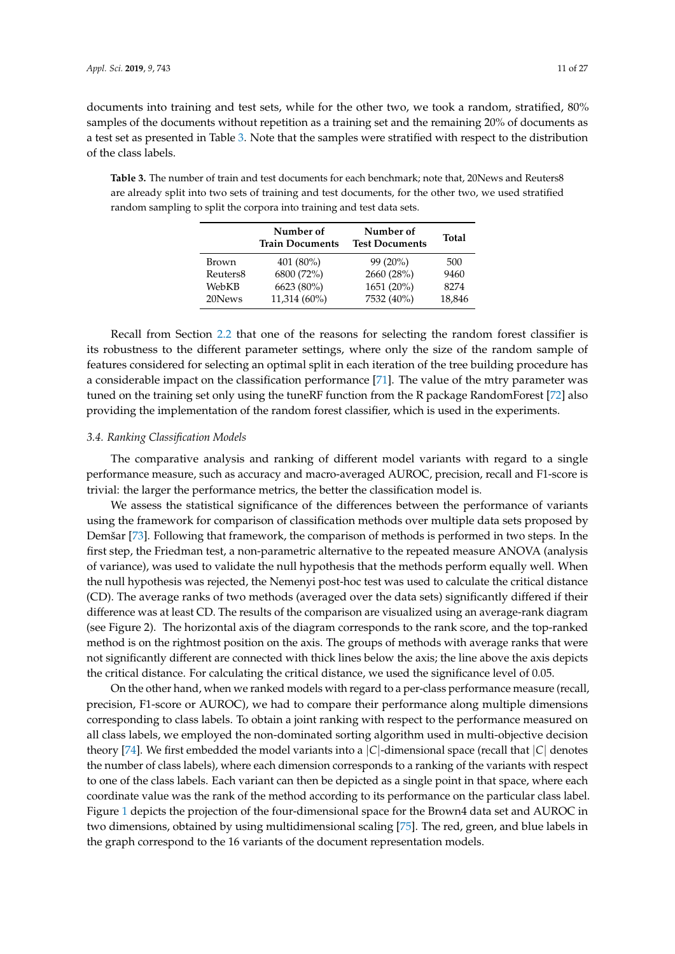documents into training and test sets, while for the other two, we took a random, stratified, 80% samples of the documents without repetition as a training set and the remaining 20% of documents as a test set as presented in Table [3.](#page-10-0) Note that the samples were stratified with respect to the distribution of the class labels.

<span id="page-10-0"></span>**Table 3.** The number of train and test documents for each benchmark; note that, 20News and Reuters8 are already split into two sets of training and test documents, for the other two, we used stratified random sampling to split the corpora into training and test data sets.

|                      | Number of<br><b>Train Documents</b> | Number of<br><b>Test Documents</b> | Total  |
|----------------------|-------------------------------------|------------------------------------|--------|
| Brown                | 401 (80%)                           | $99(20\%)$                         | 500    |
| Reuters <sub>8</sub> | 6800 (72%)                          | 2660 (28%)                         | 9460   |
| WebKB                | 6623 (80%)                          | 1651 (20%)                         | 8274   |
| 20News               | $11,314(60\%)$                      | 7532 (40%)                         | 18,846 |

Recall from Section [2.2](#page-5-1) that one of the reasons for selecting the random forest classifier is its robustness to the different parameter settings, where only the size of the random sample of features considered for selecting an optimal split in each iteration of the tree building procedure has a considerable impact on the classification performance [\[71\]](#page-25-19). The value of the mtry parameter was tuned on the training set only using the tuneRF function from the R package RandomForest [\[72\]](#page-25-20) also providing the implementation of the random forest classifier, which is used in the experiments.

#### *3.4. Ranking Classification Models*

The comparative analysis and ranking of different model variants with regard to a single performance measure, such as accuracy and macro-averaged AUROC, precision, recall and F1-score is trivial: the larger the performance metrics, the better the classification model is.

We assess the statistical significance of the differences between the performance of variants using the framework for comparison of classification methods over multiple data sets proposed by Demšar [\[73\]](#page-25-21). Following that framework, the comparison of methods is performed in two steps. In the first step, the Friedman test, a non-parametric alternative to the repeated measure ANOVA (analysis of variance), was used to validate the null hypothesis that the methods perform equally well. When the null hypothesis was rejected, the Nemenyi post-hoc test was used to calculate the critical distance (CD). The average ranks of two methods (averaged over the data sets) significantly differed if their difference was at least CD. The results of the comparison are visualized using an average-rank diagram (see Figure 2). The horizontal axis of the diagram corresponds to the rank score, and the top-ranked method is on the rightmost position on the axis. The groups of methods with average ranks that were not significantly different are connected with thick lines below the axis; the line above the axis depicts the critical distance. For calculating the critical distance, we used the significance level of 0.05.

On the other hand, when we ranked models with regard to a per-class performance measure (recall, precision, F1-score or AUROC), we had to compare their performance along multiple dimensions corresponding to class labels. To obtain a joint ranking with respect to the performance measured on all class labels, we employed the non-dominated sorting algorithm used in multi-objective decision theory [\[74\]](#page-25-22). We first embedded the model variants into a |*C*|-dimensional space (recall that |*C*| denotes the number of class labels), where each dimension corresponds to a ranking of the variants with respect to one of the class labels. Each variant can then be depicted as a single point in that space, where each coordinate value was the rank of the method according to its performance on the particular class label. Figure [1](#page-11-1) depicts the projection of the four-dimensional space for the Brown4 data set and AUROC in two dimensions, obtained by using multidimensional scaling [\[75\]](#page-25-23). The red, green, and blue labels in the graph correspond to the 16 variants of the document representation models.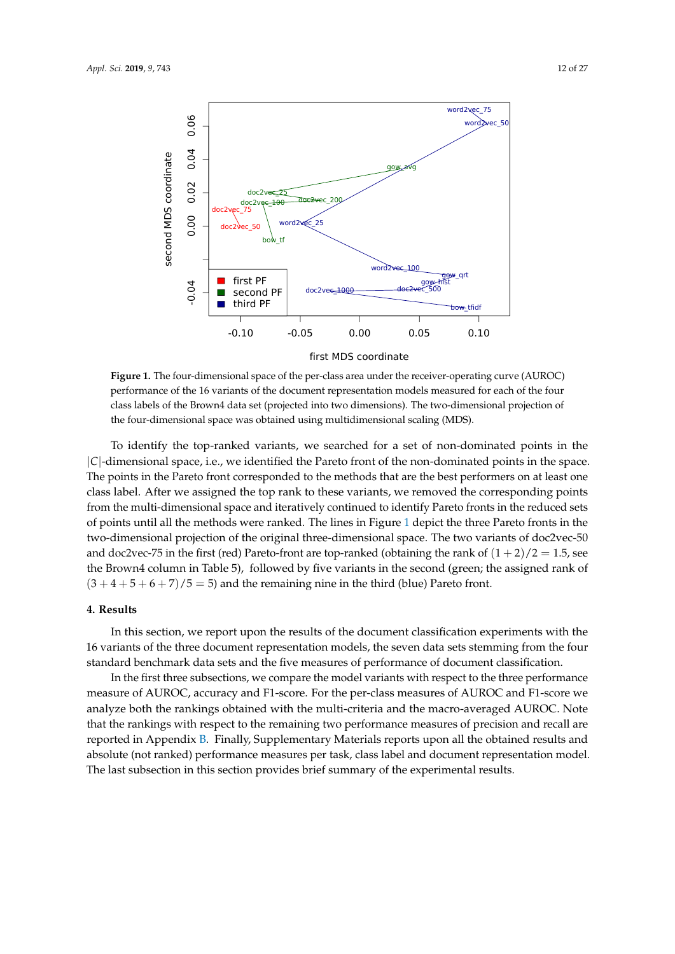<span id="page-11-1"></span>

first MDS coordinate

**Figure 1.** The four-dimensional space of the per-class area under the receiver-operating curve (AUROC) performance of the 16 variants of the document representation models measured for each of the four class labels of the Brown4 data set (projected into two dimensions). The two-dimensional projection of the four-dimensional space was obtained using multidimensional scaling (MDS).

To identify the top-ranked variants, we searched for a set of non-dominated points in the |*C*|-dimensional space, i.e., we identified the Pareto front of the non-dominated points in the space. The points in the Pareto front corresponded to the methods that are the best performers on at least one class label. After we assigned the top rank to these variants, we removed the corresponding points from the multi-dimensional space and iteratively continued to identify Pareto fronts in the reduced sets of points until all the methods were ranked. The lines in Figure [1](#page-11-1) depict the three Pareto fronts in the two-dimensional projection of the original three-dimensional space. The two variants of doc2vec-50 and doc2vec-75 in the first (red) Pareto-front are top-ranked (obtaining the rank of  $(1+2)/2 = 1.5$ , see the Brown4 column in Table 5), followed by five variants in the second (green; the assigned rank of  $(3 + 4 + 5 + 6 + 7)/5 = 5$  and the remaining nine in the third (blue) Pareto front.

#### <span id="page-11-0"></span>**4. Results**

In this section, we report upon the results of the document classification experiments with the 16 variants of the three document representation models, the seven data sets stemming from the four standard benchmark data sets and the five measures of performance of document classification.

In the first three subsections, we compare the model variants with respect to the three performance measure of AUROC, accuracy and F1-score. For the per-class measures of AUROC and F1-score we analyze both the rankings obtained with the multi-criteria and the macro-averaged AUROC. Note that the rankings with respect to the remaining two performance measures of precision and recall are reported in Appendix [B.](#page-20-0) Finally, Supplementary Materials reports upon all the obtained results and absolute (not ranked) performance measures per task, class label and document representation model. The last subsection in this section provides brief summary of the experimental results.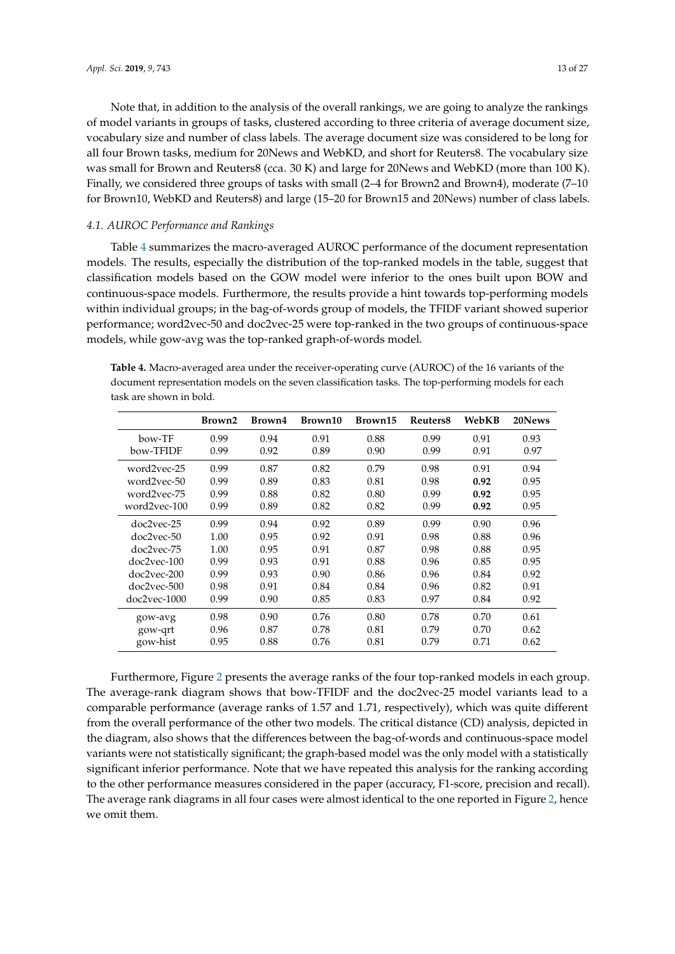Note that, in addition to the analysis of the overall rankings, we are going to analyze the rankings of model variants in groups of tasks, clustered according to three criteria of average document size, vocabulary size and number of class labels. The average document size was considered to be long for all four Brown tasks, medium for 20News and WebKD, and short for Reuters8. The vocabulary size was small for Brown and Reuters8 (cca. 30 K) and large for 20News and WebKD (more than 100 K). Finally, we considered three groups of tasks with small (2–4 for Brown2 and Brown4), moderate (7–10 for Brown10, WebKD and Reuters8) and large (15–20 for Brown15 and 20News) number of class labels.

# *4.1. AUROC Performance and Rankings*

Table [4](#page-12-0) summarizes the macro-averaged AUROC performance of the document representation models. The results, especially the distribution of the top-ranked models in the table, suggest that classification models based on the GOW model were inferior to the ones built upon BOW and continuous-space models. Furthermore, the results provide a hint towards top-performing models within individual groups; in the bag-of-words group of models, the TFIDF variant showed superior performance; word2vec-50 and doc2vec-25 were top-ranked in the two groups of continuous-space models, while gow-avg was the top-ranked graph-of-words model.

<span id="page-12-0"></span>

| Table 4. Macro-averaged area under the receiver-operating curve (AUROC) of the 16 variants of the    |
|------------------------------------------------------------------------------------------------------|
| document representation models on the seven classification tasks. The top-performing models for each |
| task are shown in bold.                                                                              |

|                | Brown2 | Brown4 | Brown10 | Brown15 | Reuters <sub>8</sub> | WebKB | 20News |
|----------------|--------|--------|---------|---------|----------------------|-------|--------|
| bow-TF         | 0.99   | 0.94   | 0.91    | 0.88    | 0.99                 | 0.91  | 0.93   |
| bow-TFIDF      | 0.99   | 0.92   | 0.89    | 0.90    | 0.99                 | 0.91  | 0.97   |
| word2vec-25    | 0.99   | 0.87   | 0.82    | 0.79    | 0.98                 | 0.91  | 0.94   |
| word2vec-50    | 0.99   | 0.89   | 0.83    | 0.81    | 0.98                 | 0.92  | 0.95   |
| word2vec-75    | 0.99   | 0.88   | 0.82    | 0.80    | 0.99                 | 0.92  | 0.95   |
| word2vec-100   | 0.99   | 0.89   | 0.82    | 0.82    | 0.99                 | 0.92  | 0.95   |
| doc2yec-25     | 0.99   | 0.94   | 0.92    | 0.89    | 0.99                 | 0.90  | 0.96   |
| doc2vec-50     | 1.00   | 0.95   | 0.92    | 0.91    | 0.98                 | 0.88  | 0.96   |
| $doc2vec-75$   | 1.00   | 0.95   | 0.91    | 0.87    | 0.98                 | 0.88  | 0.95   |
| $doc2vec-100$  | 0.99   | 0.93   | 0.91    | 0.88    | 0.96                 | 0.85  | 0.95   |
| $doc2vec-200$  | 0.99   | 0.93   | 0.90    | 0.86    | 0.96                 | 0.84  | 0.92   |
| $doc2vec-500$  | 0.98   | 0.91   | 0.84    | 0.84    | 0.96                 | 0.82  | 0.91   |
| $doc2vec-1000$ | 0.99   | 0.90   | 0.85    | 0.83    | 0.97                 | 0.84  | 0.92   |
| gow-avg        | 0.98   | 0.90   | 0.76    | 0.80    | 0.78                 | 0.70  | 0.61   |
| gow-grt        | 0.96   | 0.87   | 0.78    | 0.81    | 0.79                 | 0.70  | 0.62   |
| gow-hist       | 0.95   | 0.88   | 0.76    | 0.81    | 0.79                 | 0.71  | 0.62   |

Furthermore, Figure [2](#page-13-0) presents the average ranks of the four top-ranked models in each group. The average-rank diagram shows that bow-TFIDF and the doc2vec-25 model variants lead to a comparable performance (average ranks of 1.57 and 1.71, respectively), which was quite different from the overall performance of the other two models. The critical distance (CD) analysis, depicted in the diagram, also shows that the differences between the bag-of-words and continuous-space model variants were not statistically significant; the graph-based model was the only model with a statistically significant inferior performance. Note that we have repeated this analysis for the ranking according to the other performance measures considered in the paper (accuracy, F1-score, precision and recall). The average rank diagrams in all four cases were almost identical to the one reported in Figure [2,](#page-13-0) hence we omit them.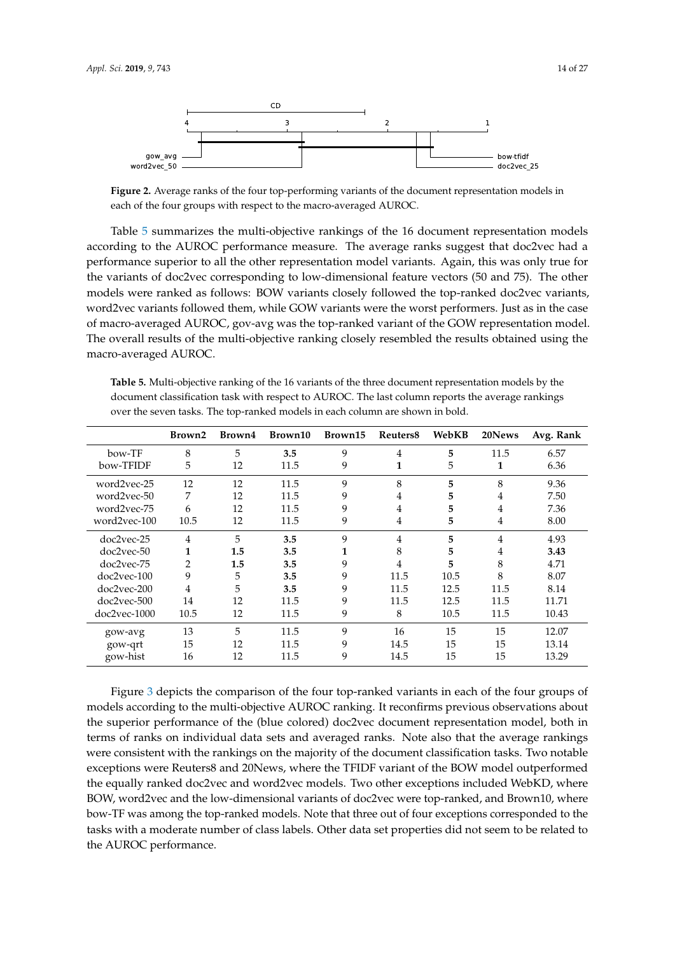<span id="page-13-0"></span>

**Figure 2.** Average ranks of the four top-performing variants of the document representation models in each of the four groups with respect to the macro-averaged AUROC.

Table [5](#page-13-1) summarizes the multi-objective rankings of the 16 document representation models according to the AUROC performance measure. The average ranks suggest that doc2vec had a performance superior to all the other representation model variants. Again, this was only true for the variants of doc2vec corresponding to low-dimensional feature vectors (50 and 75). The other models were ranked as follows: BOW variants closely followed the top-ranked doc2vec variants, word2vec variants followed them, while GOW variants were the worst performers. Just as in the case of macro-averaged AUROC, gov-avg was the top-ranked variant of the GOW representation model. The overall results of the multi-objective ranking closely resembled the results obtained using the macro-averaged AUROC.

<span id="page-13-1"></span>**Table 5.** Multi-objective ranking of the 16 variants of the three document representation models by the document classification task with respect to AUROC. The last column reports the average rankings over the seven tasks. The top-ranked models in each column are shown in bold.

|                | Brown2         | Brown4 | Brown10 | Brown15 | Reuters8       | WebKB | 20News         | Avg. Rank |
|----------------|----------------|--------|---------|---------|----------------|-------|----------------|-----------|
| bow-TF         | 8              | 5      | 3.5     | 9       | $\overline{4}$ | 5     | 11.5           | 6.57      |
| bow-TFIDF      | 5              | 12     | 11.5    | 9       | 1              | 5     | 1              | 6.36      |
| word2vec-25    | 12             | 12     | 11.5    | 9       | 8              | 5     | 8              | 9.36      |
| word2vec-50    | 7              | 12     | 11.5    | 9       | 4              | 5     | 4              | 7.50      |
| word2vec-75    | 6              | 12     | 11.5    | 9       | 4              | 5     | 4              | 7.36      |
| word2vec-100   | 10.5           | 12     | 11.5    | 9       | 4              | 5     | $\overline{4}$ | 8.00      |
| doc2vec-25     | 4              | 5      | 3.5     | 9       | 4              | 5     | 4              | 4.93      |
| doc2vec-50     | 1              | 1.5    | 3.5     | 1       | 8              | 5     | 4              | 3.43      |
| doc2vec-75     | $\overline{2}$ | 1.5    | 3.5     | 9       | 4              | 5     | 8              | 4.71      |
| $doc2vec-100$  | 9              | 5      | 3.5     | 9       | 11.5           | 10.5  | 8              | 8.07      |
| doc2vec-200    | 4              | 5      | 3.5     | 9       | 11.5           | 12.5  | 11.5           | 8.14      |
| doc2vec-500    | 14             | 12     | 11.5    | 9       | 11.5           | 12.5  | 11.5           | 11.71     |
| $doc2vec-1000$ | 10.5           | 12     | 11.5    | 9       | 8              | 10.5  | 11.5           | 10.43     |
| gow-avg        | 13             | 5      | 11.5    | 9       | 16             | 15    | 15             | 12.07     |
| gow-qrt        | 15             | 12     | 11.5    | 9       | 14.5           | 15    | 15             | 13.14     |
| gow-hist       | 16             | 12     | 11.5    | 9       | 14.5           | 15    | 15             | 13.29     |

Figure [3](#page-14-0) depicts the comparison of the four top-ranked variants in each of the four groups of models according to the multi-objective AUROC ranking. It reconfirms previous observations about the superior performance of the (blue colored) doc2vec document representation model, both in terms of ranks on individual data sets and averaged ranks. Note also that the average rankings were consistent with the rankings on the majority of the document classification tasks. Two notable exceptions were Reuters8 and 20News, where the TFIDF variant of the BOW model outperformed the equally ranked doc2vec and word2vec models. Two other exceptions included WebKD, where BOW, word2vec and the low-dimensional variants of doc2vec were top-ranked, and Brown10, where bow-TF was among the top-ranked models. Note that three out of four exceptions corresponded to the tasks with a moderate number of class labels. Other data set properties did not seem to be related to the AUROC performance.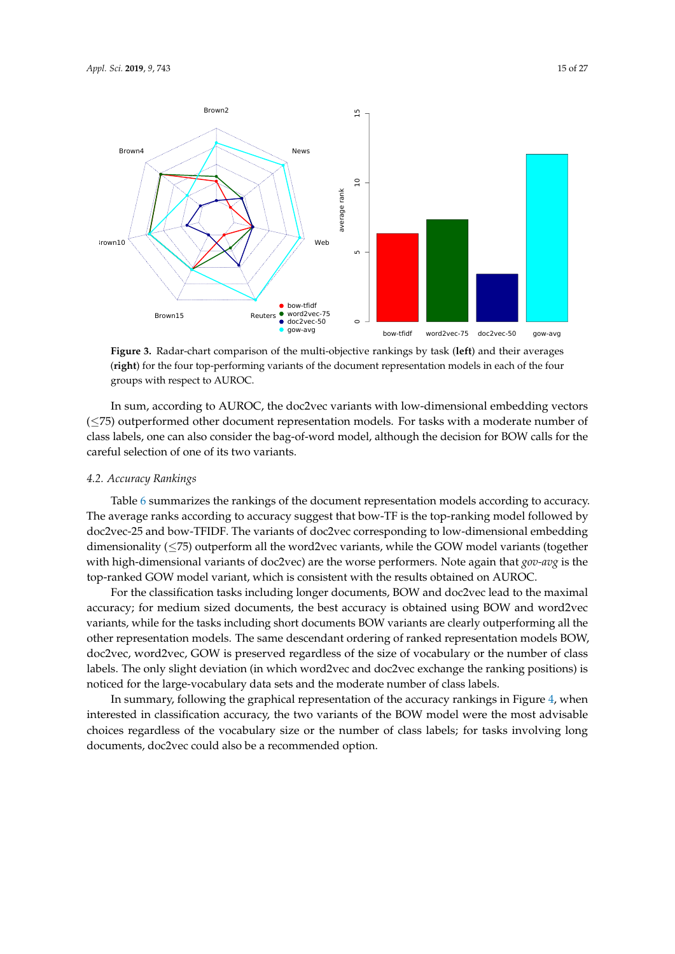<span id="page-14-0"></span>

**Figure 3.** Radar-chart comparison of the multi-objective rankings by task (**left**) and their averages (**right**) for the four top-performing variants of the document representation models in each of the four groups with respect to AUROC.

In sum, according to AUROC, the doc2vec variants with low-dimensional embedding vectors (≤75) outperformed other document representation models. For tasks with a moderate number of class labels, one can also consider the bag-of-word model, although the decision for BOW calls for the careful selection of one of its two variants.

# *4.2. Accuracy Rankings*

Table [6](#page-15-0) summarizes the rankings of the document representation models according to accuracy. The average ranks according to accuracy suggest that bow-TF is the top-ranking model followed by doc2vec-25 and bow-TFIDF. The variants of doc2vec corresponding to low-dimensional embedding dimensionality  $(\leq 75)$  outperform all the word2vec variants, while the GOW model variants (together with high-dimensional variants of doc2vec) are the worse performers. Note again that *gov-avg* is the top-ranked GOW model variant, which is consistent with the results obtained on AUROC.

For the classification tasks including longer documents, BOW and doc2vec lead to the maximal accuracy; for medium sized documents, the best accuracy is obtained using BOW and word2vec variants, while for the tasks including short documents BOW variants are clearly outperforming all the other representation models. The same descendant ordering of ranked representation models BOW, doc2vec, word2vec, GOW is preserved regardless of the size of vocabulary or the number of class labels. The only slight deviation (in which word2vec and doc2vec exchange the ranking positions) is noticed for the large-vocabulary data sets and the moderate number of class labels.

In summary, following the graphical representation of the accuracy rankings in Figure [4,](#page-15-1) when interested in classification accuracy, the two variants of the BOW model were the most advisable choices regardless of the vocabulary size or the number of class labels; for tasks involving long documents, doc2vec could also be a recommended option.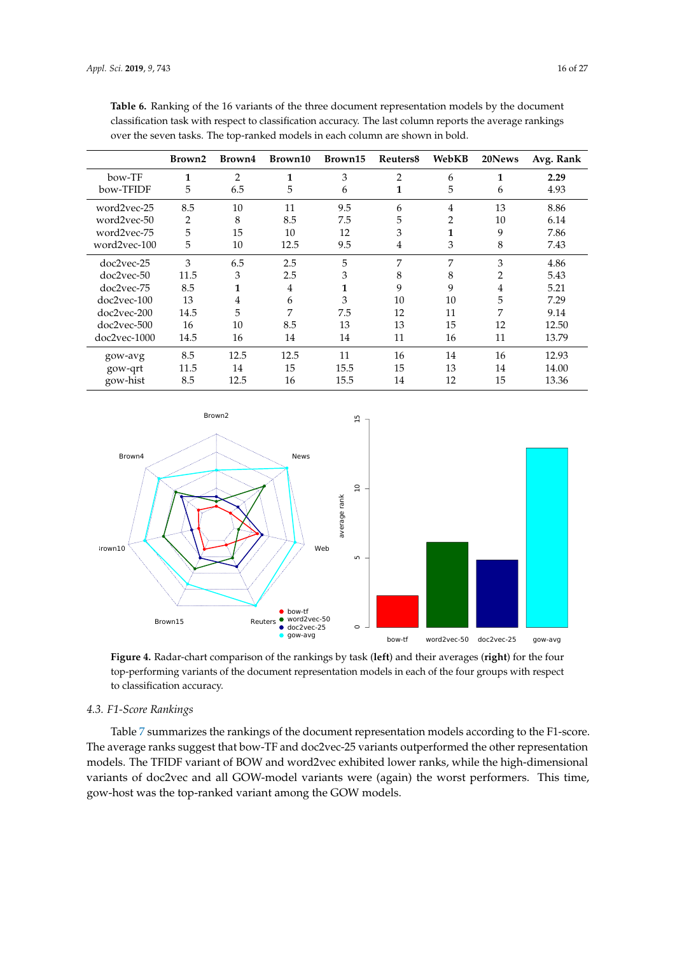|                | Brown2 | Brown4 | Brown10        | Brown15      | Reuters <sub>8</sub> | WebKB | 20News         | Avg. Rank |
|----------------|--------|--------|----------------|--------------|----------------------|-------|----------------|-----------|
| bow-TF         | 1      | 2      | 1              | 3            | $\overline{2}$       | 6     | 1              | 2.29      |
| bow-TFIDF      | 5      | 6.5    | 5              | 6            | 1                    | 5     | 6              | 4.93      |
| word2vec-25    | 8.5    | 10     | 11             | 9.5          | 6                    | 4     | 13             | 8.86      |
| word2vec-50    | 2      | 8      | 8.5            | 7.5          | 5                    | 2     | 10             | 6.14      |
| word2vec-75    | 5      | 15     | 10             | 12           | 3                    | 1     | 9              | 7.86      |
| word2vec-100   | 5      | 10     | 12.5           | 9.5          | 4                    | 3     | 8              | 7.43      |
| doc2vec-25     | 3      | 6.5    | 2.5            | 5            | 7                    | 7     | 3              | 4.86      |
| doc2vec-50     | 11.5   | 3      | 2.5            | 3            | 8                    | 8     | $\overline{2}$ | 5.43      |
| doc2vec-75     | 8.5    | 1      | $\overline{4}$ | $\mathbf{1}$ | 9                    | 9     | $\overline{4}$ | 5.21      |
| doc2vec-100    | 13     | 4      | 6              | 3            | 10                   | 10    | 5              | 7.29      |
| doc2vec-200    | 14.5   | 5      | 7              | 7.5          | 12                   | 11    | 7              | 9.14      |
| doc2vec-500    | 16     | 10     | 8.5            | 13           | 13                   | 15    | 12             | 12.50     |
| $doc2vec-1000$ | 14.5   | 16     | 14             | 14           | 11                   | 16    | 11             | 13.79     |
| gow-avg        | 8.5    | 12.5   | 12.5           | 11           | 16                   | 14    | 16             | 12.93     |
| gow-qrt        | 11.5   | 14     | 15             | 15.5         | 15                   | 13    | 14             | 14.00     |
| gow-hist       | 8.5    | 12.5   | 16             | 15.5         | 14                   | 12    | 15             | 13.36     |

<span id="page-15-0"></span>**Table 6.** Ranking of the 16 variants of the three document representation models by the document classification task with respect to classification accuracy. The last column reports the average rankings over the seven tasks. The top-ranked models in each column are shown in bold.

<span id="page-15-1"></span>

**Figure 4.** Radar-chart comparison of the rankings by task (**left**) and their averages (**right**) for the four top-performing variants of the document representation models in each of the four groups with respect to classification accuracy.

#### *4.3. F1-Score Rankings*

Table [7](#page-16-0) summarizes the rankings of the document representation models according to the F1-score. The average ranks suggest that bow-TF and doc2vec-25 variants outperformed the other representation models. The TFIDF variant of BOW and word2vec exhibited lower ranks, while the high-dimensional variants of doc2vec and all GOW-model variants were (again) the worst performers. This time, gow-host was the top-ranked variant among the GOW models.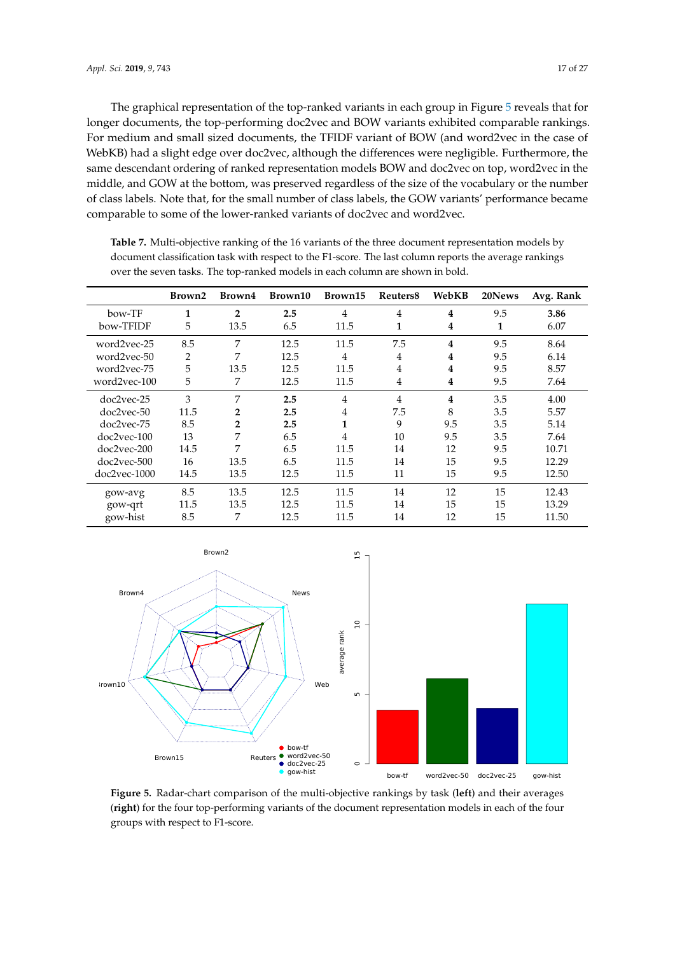The graphical representation of the top-ranked variants in each group in Figure [5](#page-16-1) reveals that for longer documents, the top-performing doc2vec and BOW variants exhibited comparable rankings. For medium and small sized documents, the TFIDF variant of BOW (and word2vec in the case of WebKB) had a slight edge over doc2vec, although the differences were negligible. Furthermore, the same descendant ordering of ranked representation models BOW and doc2vec on top, word2vec in the middle, and GOW at the bottom, was preserved regardless of the size of the vocabulary or the number of class labels. Note that, for the small number of class labels, the GOW variants' performance became comparable to some of the lower-ranked variants of doc2vec and word2vec.

|                | Brown2         | Brown4         | Brown10 | Brown15        | Reuters <sub>8</sub> | WebKB | 20News | Avg. Rank |
|----------------|----------------|----------------|---------|----------------|----------------------|-------|--------|-----------|
| bow-TF         | 1              | $\overline{2}$ | 2.5     | $\overline{4}$ | 4                    | 4     | 9.5    | 3.86      |
| bow-TFIDF      | 5              | 13.5           | 6.5     | 11.5           | 1                    | 4     | 1      | 6.07      |
| word2vec-25    | 8.5            | 7              | 12.5    | 11.5           | 7.5                  | 4     | 9.5    | 8.64      |
| word2vec-50    | $\overline{2}$ | 7              | 12.5    | 4              | 4                    | 4     | 9.5    | 6.14      |
| word2vec-75    | 5              | 13.5           | 12.5    | 11.5           | 4                    | 4     | 9.5    | 8.57      |
| word2vec-100   | 5              | 7              | 12.5    | 11.5           | 4                    | 4     | 9.5    | 7.64      |
| doc2vec-25     | 3              | 7              | 2.5     | $\overline{4}$ | 4                    | 4     | 3.5    | 4.00      |
| doc2vec-50     | 11.5           | 2              | 2.5     | $\overline{4}$ | 7.5                  | 8     | 3.5    | 5.57      |
| doc2vec-75     | 8.5            | $\overline{2}$ | 2.5     | 1              | 9                    | 9.5   | 3.5    | 5.14      |
| $doc2vec-100$  | 13             | 7              | 6.5     | 4              | 10                   | 9.5   | 3.5    | 7.64      |
| doc2vec-200    | 14.5           | 7              | 6.5     | 11.5           | 14                   | 12    | 9.5    | 10.71     |
| doc2vec-500    | 16             | 13.5           | 6.5     | 11.5           | 14                   | 15    | 9.5    | 12.29     |
| $doc2vec-1000$ | 14.5           | 13.5           | 12.5    | 11.5           | 11                   | 15    | 9.5    | 12.50     |
| gow-avg        | 8.5            | 13.5           | 12.5    | 11.5           | 14                   | 12    | 15     | 12.43     |
| gow-qrt        | 11.5           | 13.5           | 12.5    | 11.5           | 14                   | 15    | 15     | 13.29     |
| gow-hist       | 8.5            | 7              | 12.5    | 11.5           | 14                   | 12    | 15     | 11.50     |

<span id="page-16-0"></span>**Table 7.** Multi-objective ranking of the 16 variants of the three document representation models by document classification task with respect to the F1-score. The last column reports the average rankings over the seven tasks. The top-ranked models in each column are shown in bold.

<span id="page-16-1"></span>

**Figure 5.** Radar-chart comparison of the multi-objective rankings by task (**left**) and their averages (**right**) for the four top-performing variants of the document representation models in each of the four groups with respect to F1-score.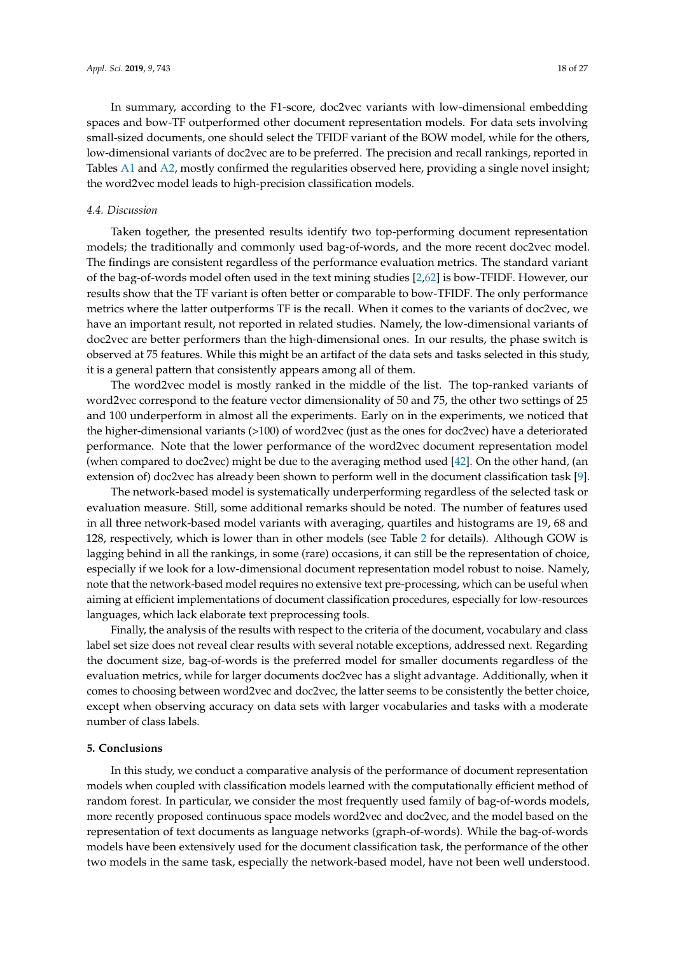In summary, according to the F1-score, doc2vec variants with low-dimensional embedding spaces and bow-TF outperformed other document representation models. For data sets involving small-sized documents, one should select the TFIDF variant of the BOW model, while for the others, low-dimensional variants of doc2vec are to be preferred. The precision and recall rankings, reported in Tables [A1](#page-20-1) and [A2,](#page-21-0) mostly confirmed the regularities observed here, providing a single novel insight; the word2vec model leads to high-precision classification models.

#### *4.4. Discussion*

Taken together, the presented results identify two top-performing document representation models; the traditionally and commonly used bag-of-words, and the more recent doc2vec model. The findings are consistent regardless of the performance evaluation metrics. The standard variant of the bag-of-words model often used in the text mining studies [\[2](#page-22-1)[,62\]](#page-25-10) is bow-TFIDF. However, our results show that the TF variant is often better or comparable to bow-TFIDF. The only performance metrics where the latter outperforms TF is the recall. When it comes to the variants of doc2vec, we have an important result, not reported in related studies. Namely, the low-dimensional variants of doc2vec are better performers than the high-dimensional ones. In our results, the phase switch is observed at 75 features. While this might be an artifact of the data sets and tasks selected in this study, it is a general pattern that consistently appears among all of them.

The word2vec model is mostly ranked in the middle of the list. The top-ranked variants of word2vec correspond to the feature vector dimensionality of 50 and 75, the other two settings of 25 and 100 underperform in almost all the experiments. Early on in the experiments, we noticed that the higher-dimensional variants (>100) of word2vec (just as the ones for doc2vec) have a deteriorated performance. Note that the lower performance of the word2vec document representation model (when compared to doc2vec) might be due to the averaging method used [\[42\]](#page-24-9). On the other hand, (an extension of) doc2vec has already been shown to perform well in the document classification task [\[9\]](#page-22-8).

The network-based model is systematically underperforming regardless of the selected task or evaluation measure. Still, some additional remarks should be noted. The number of features used in all three network-based model variants with averaging, quartiles and histograms are 19, 68 and 128, respectively, which is lower than in other models (see Table [2](#page-8-0) for details). Although GOW is lagging behind in all the rankings, in some (rare) occasions, it can still be the representation of choice, especially if we look for a low-dimensional document representation model robust to noise. Namely, note that the network-based model requires no extensive text pre-processing, which can be useful when aiming at efficient implementations of document classification procedures, especially for low-resources languages, which lack elaborate text preprocessing tools.

Finally, the analysis of the results with respect to the criteria of the document, vocabulary and class label set size does not reveal clear results with several notable exceptions, addressed next. Regarding the document size, bag-of-words is the preferred model for smaller documents regardless of the evaluation metrics, while for larger documents doc2vec has a slight advantage. Additionally, when it comes to choosing between word2vec and doc2vec, the latter seems to be consistently the better choice, except when observing accuracy on data sets with larger vocabularies and tasks with a moderate number of class labels.

#### <span id="page-17-0"></span>**5. Conclusions**

In this study, we conduct a comparative analysis of the performance of document representation models when coupled with classification models learned with the computationally efficient method of random forest. In particular, we consider the most frequently used family of bag-of-words models, more recently proposed continuous space models word2vec and doc2vec, and the model based on the representation of text documents as language networks (graph-of-words). While the bag-of-words models have been extensively used for the document classification task, the performance of the other two models in the same task, especially the network-based model, have not been well understood.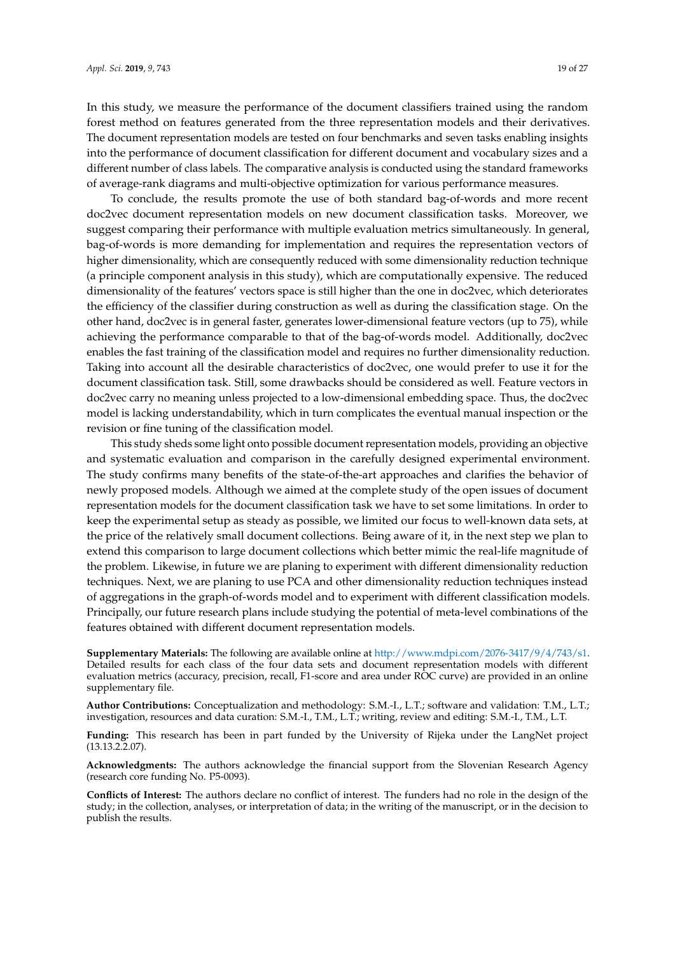In this study, we measure the performance of the document classifiers trained using the random forest method on features generated from the three representation models and their derivatives. The document representation models are tested on four benchmarks and seven tasks enabling insights into the performance of document classification for different document and vocabulary sizes and a different number of class labels. The comparative analysis is conducted using the standard frameworks of average-rank diagrams and multi-objective optimization for various performance measures.

To conclude, the results promote the use of both standard bag-of-words and more recent doc2vec document representation models on new document classification tasks. Moreover, we suggest comparing their performance with multiple evaluation metrics simultaneously. In general, bag-of-words is more demanding for implementation and requires the representation vectors of higher dimensionality, which are consequently reduced with some dimensionality reduction technique (a principle component analysis in this study), which are computationally expensive. The reduced dimensionality of the features' vectors space is still higher than the one in doc2vec, which deteriorates the efficiency of the classifier during construction as well as during the classification stage. On the other hand, doc2vec is in general faster, generates lower-dimensional feature vectors (up to 75), while achieving the performance comparable to that of the bag-of-words model. Additionally, doc2vec enables the fast training of the classification model and requires no further dimensionality reduction. Taking into account all the desirable characteristics of doc2vec, one would prefer to use it for the document classification task. Still, some drawbacks should be considered as well. Feature vectors in doc2vec carry no meaning unless projected to a low-dimensional embedding space. Thus, the doc2vec model is lacking understandability, which in turn complicates the eventual manual inspection or the revision or fine tuning of the classification model.

This study sheds some light onto possible document representation models, providing an objective and systematic evaluation and comparison in the carefully designed experimental environment. The study confirms many benefits of the state-of-the-art approaches and clarifies the behavior of newly proposed models. Although we aimed at the complete study of the open issues of document representation models for the document classification task we have to set some limitations. In order to keep the experimental setup as steady as possible, we limited our focus to well-known data sets, at the price of the relatively small document collections. Being aware of it, in the next step we plan to extend this comparison to large document collections which better mimic the real-life magnitude of the problem. Likewise, in future we are planing to experiment with different dimensionality reduction techniques. Next, we are planing to use PCA and other dimensionality reduction techniques instead of aggregations in the graph-of-words model and to experiment with different classification models. Principally, our future research plans include studying the potential of meta-level combinations of the features obtained with different document representation models.

**Supplementary Materials:** The following are available online at [http://www.mdpi.com/2076-3417/9/4/743/s1.](http://www.mdpi.com/2076-3417/9/4/743/s1) Detailed results for each class of the four data sets and document representation models with different evaluation metrics (accuracy, precision, recall, F1-score and area under ROC curve) are provided in an online supplementary file.

**Author Contributions:** Conceptualization and methodology: S.M.-I., L.T.; software and validation: T.M., L.T.; investigation, resources and data curation: S.M.-I., T.M., L.T.; writing, review and editing: S.M.-I., T.M., L.T.

**Funding:** This research has been in part funded by the University of Rijeka under the LangNet project (13.13.2.2.07).

**Acknowledgments:** The authors acknowledge the financial support from the Slovenian Research Agency (research core funding No. P5-0093).

**Conflicts of Interest:** The authors declare no conflict of interest. The funders had no role in the design of the study; in the collection, analyses, or interpretation of data; in the writing of the manuscript, or in the decision to publish the results.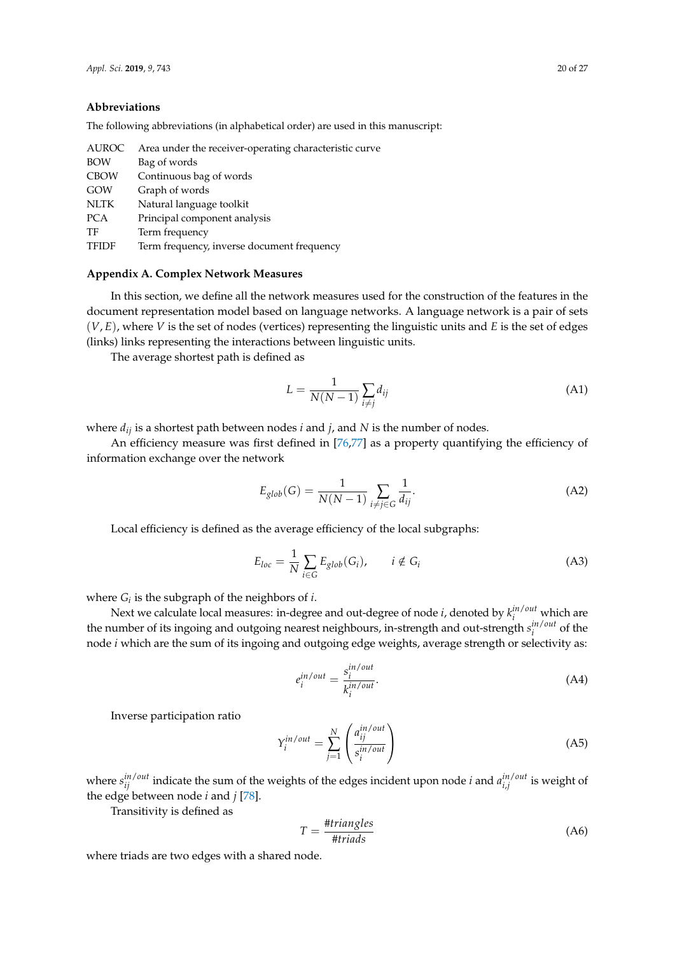#### **Abbreviations**

The following abbreviations (in alphabetical order) are used in this manuscript:

| <b>AUROC</b> | Area under the receiver-operating characteristic curve |
|--------------|--------------------------------------------------------|
| <b>BOW</b>   | Bag of words                                           |
| <b>CBOW</b>  | Continuous bag of words                                |
| GOW          | Graph of words                                         |
| <b>NLTK</b>  | Natural language toolkit                               |
| <b>PCA</b>   | Principal component analysis                           |
| TF           | Term frequency                                         |
| <b>TFIDF</b> | Term frequency, inverse document frequency             |
|              |                                                        |

# <span id="page-19-0"></span>**Appendix A. Complex Network Measures**

In this section, we define all the network measures used for the construction of the features in the document representation model based on language networks. A language network is a pair of sets (*V*, *E*), where *V* is the set of nodes (vertices) representing the linguistic units and *E* is the set of edges (links) links representing the interactions between linguistic units.

The average shortest path is defined as

$$
L = \frac{1}{N(N-1)} \sum_{i \neq j} d_{ij} \tag{A1}
$$

where *dij* is a shortest path between nodes *i* and *j*, and *N* is the number of nodes.

An efficiency measure was first defined in [\[76,](#page-26-0)[77\]](#page-26-1) as a property quantifying the efficiency of information exchange over the network

$$
E_{glob}(G) = \frac{1}{N(N-1)} \sum_{i \neq j \in G} \frac{1}{d_{ij}}.
$$
 (A2)

Local efficiency is defined as the average efficiency of the local subgraphs:

$$
E_{loc} = \frac{1}{N} \sum_{i \in G} E_{glob}(G_i), \qquad i \notin G_i
$$
\n(A3)

where  $G_i$  is the subgraph of the neighbors of *i*.

Next we calculate local measures: in-degree and out-degree of node *i*, denoted by  $k_i^{in/out}$  which are the number of its ingoing and outgoing nearest neighbours, in-strength and out-strength  $s_i^{in/out}$  of the node *i* which are the sum of its ingoing and outgoing edge weights, average strength or selectivity as:

$$
e_i^{in/out} = \frac{s_i^{in/out}}{k_i^{in/out}}.
$$
\n(A4)

Inverse participation ratio

$$
Y_i^{in/out} = \sum_{j=1}^{N} \left( \frac{a_{ij}^{in/out}}{s_i^{in/out}} \right)
$$
 (A5)

where  $s_{ij}^{in/out}$  indicate the sum of the weights of the edges incident upon node *i* and  $a_{i,j}^{in/out}$  is weight of the edge between node *i* and *j* [\[78\]](#page-26-2).

Transitivity is defined as

$$
T = \frac{\# triangles}{\#triads} \tag{A6}
$$

where triads are two edges with a shared node.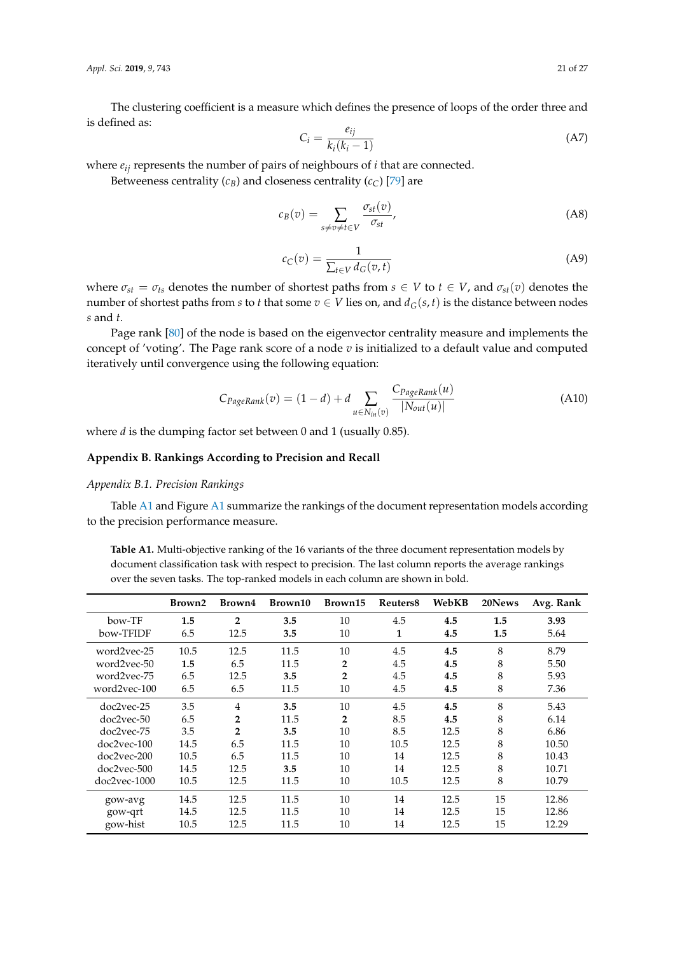*Appl. Sci.* **2019**, *9*, 743 21 of 27

The clustering coefficient is a measure which defines the presence of loops of the order three and is defined as:

$$
C_i = \frac{e_{ij}}{k_i(k_i - 1)}\tag{A7}
$$

where *eij* represents the number of pairs of neighbours of *i* that are connected.

Betweeness centrality  $(c_B)$  and closeness centrality  $(c_C)$  [\[79\]](#page-26-3) are

$$
c_B(v) = \sum_{s \neq v \neq t \in V} \frac{\sigma_{st}(v)}{\sigma_{st}},
$$
\n(A8)

$$
c_C(v) = \frac{1}{\sum_{t \in V} d_G(v, t)}\tag{A9}
$$

where  $\sigma_{st} = \sigma_{ts}$  denotes the number of shortest paths from  $s \in V$  to  $t \in V$ , and  $\sigma_{st}(v)$  denotes the number of shortest paths from *s* to *t* that some  $v \in V$  lies on, and  $d_G(s, t)$  is the distance between nodes *s* and *t*.

Page rank [\[80\]](#page-26-4) of the node is based on the eigenvector centrality measure and implements the concept of 'voting'. The Page rank score of a node *v* is initialized to a default value and computed iteratively until convergence using the following equation:

$$
C_{PageRank}(v) = (1 - d) + d \sum_{u \in N_{in}(v)} \frac{C_{PageRank}(u)}{|N_{out}(u)|}
$$
(A10)

where *d* is the dumping factor set between 0 and 1 (usually 0.85).

# <span id="page-20-0"></span>**Appendix B. Rankings According to Precision and Recall**

# *Appendix B.1. Precision Rankings*

Table [A1](#page-20-1) and Figure [A1](#page-21-1) summarize the rankings of the document representation models according to the precision performance measure.

<span id="page-20-1"></span>**Table A1.** Multi-objective ranking of the 16 variants of the three document representation models by document classification task with respect to precision. The last column reports the average rankings over the seven tasks. The top-ranked models in each column are shown in bold.

|              | Brown2 | Brown4         | Brown10 | Brown15        | Reuters8 | WebKB | 20News | Avg. Rank |
|--------------|--------|----------------|---------|----------------|----------|-------|--------|-----------|
| bow-TF       | 1.5    | $\overline{2}$ | 3.5     | 10             | 4.5      | 4.5   | 1.5    | 3.93      |
| bow-TFIDF    | 6.5    | 12.5           | 3.5     | 10             | 1        | 4.5   | 1.5    | 5.64      |
| word2vec-25  | 10.5   | 12.5           | 11.5    | 10             | 4.5      | 4.5   | 8      | 8.79      |
| word2vec-50  | 1.5    | 6.5            | 11.5    | $\overline{2}$ | 4.5      | 4.5   | 8      | 5.50      |
| word2vec-75  | 6.5    | 12.5           | 3.5     | $\overline{2}$ | 4.5      | 4.5   | 8      | 5.93      |
| word2vec-100 | 6.5    | 6.5            | 11.5    | 10             | 4.5      | 4.5   | 8      | 7.36      |
| doc2vec-25   | 3.5    | $\overline{4}$ | 3.5     | 10             | 4.5      | 4.5   | 8      | 5.43      |
| doc2vec-50   | 6.5    | $\overline{2}$ | 11.5    | $\overline{2}$ | 8.5      | 4.5   | 8      | 6.14      |
| doc2vec-75   | 3.5    | $\overline{2}$ | 3.5     | 10             | 8.5      | 12.5  | 8      | 6.86      |
| doc2vec-100  | 14.5   | 6.5            | 11.5    | 10             | 10.5     | 12.5  | 8      | 10.50     |
| doc2vec-200  | 10.5   | 6.5            | 11.5    | 10             | 14       | 12.5  | 8      | 10.43     |
| doc2vec-500  | 14.5   | 12.5           | 3.5     | 10             | 14       | 12.5  | 8      | 10.71     |
| doc2vec-1000 | 10.5   | 12.5           | 11.5    | 10             | 10.5     | 12.5  | 8      | 10.79     |
| gow-avg      | 14.5   | 12.5           | 11.5    | 10             | 14       | 12.5  | 15     | 12.86     |
| gow-qrt      | 14.5   | 12.5           | 11.5    | 10             | 14       | 12.5  | 15     | 12.86     |
| gow-hist     | 10.5   | 12.5           | 11.5    | 10             | 14       | 12.5  | 15     | 12.29     |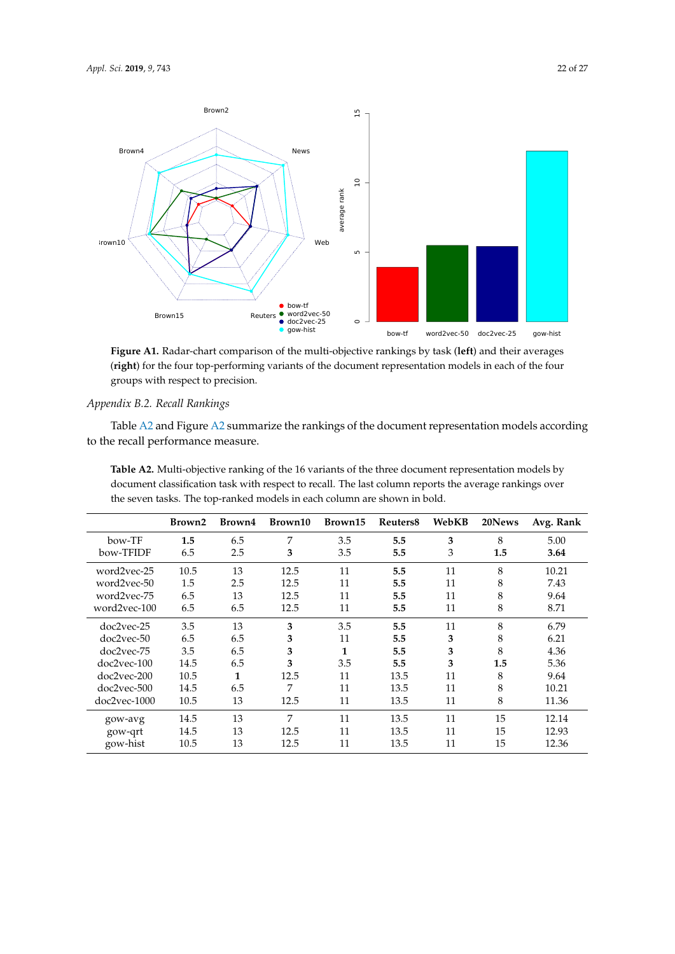<span id="page-21-1"></span>

**Figure A1.** Radar-chart comparison of the multi-objective rankings by task (**left**) and their averages (**right**) for the four top-performing variants of the document representation models in each of the four groups with respect to precision.

# *Appendix B.2. Recall Rankings*

Table [A2](#page-21-0) and Figure [A2](#page-22-12) summarize the rankings of the document representation models according to the recall performance measure.

<span id="page-21-0"></span>**Table A2.** Multi-objective ranking of the 16 variants of the three document representation models by document classification task with respect to recall. The last column reports the average rankings over the seven tasks. The top-ranked models in each column are shown in bold.

|                | Brown2 | Brown4 | Brown10 | Brown15 | Reuters <sub>8</sub> | WebKB | 20News | Avg. Rank |
|----------------|--------|--------|---------|---------|----------------------|-------|--------|-----------|
| bow-TF         | 1.5    | 6.5    | 7       | 3.5     | 5.5                  | 3     | 8      | 5.00      |
| bow-TFIDF      | 6.5    | 2.5    | 3       | 3.5     | 5.5                  | 3     | 1.5    | 3.64      |
| word2vec-25    | 10.5   | 13     | 12.5    | 11      | 5.5                  | 11    | 8      | 10.21     |
| word2vec-50    | 1.5    | 2.5    | 12.5    | 11      | 5.5                  | 11    | 8      | 7.43      |
| word2vec-75    | 6.5    | 13     | 12.5    | 11      | 5.5                  | 11    | 8      | 9.64      |
| word2vec-100   | 6.5    | 6.5    | 12.5    | 11      | 5.5                  | 11    | 8      | 8.71      |
| doc2vec-25     | 3.5    | 13     | 3       | 3.5     | 5.5                  | 11    | 8      | 6.79      |
| doc2vec-50     | 6.5    | 6.5    | 3       | 11      | 5.5                  | 3     | 8      | 6.21      |
| doc2vec-75     | 3.5    | 6.5    | 3       | 1       | 5.5                  | 3     | 8      | 4.36      |
| doc2vec-100    | 14.5   | 6.5    | 3       | 3.5     | 5.5                  | 3     | 1.5    | 5.36      |
| doc2vec-200    | 10.5   | 1      | 12.5    | 11      | 13.5                 | 11    | 8      | 9.64      |
| doc2vec-500    | 14.5   | 6.5    | 7       | 11      | 13.5                 | 11    | 8      | 10.21     |
| $doc2vec-1000$ | 10.5   | 13     | 12.5    | 11      | 13.5                 | 11    | 8      | 11.36     |
| gow-avg        | 14.5   | 13     | 7       | 11      | 13.5                 | 11    | 15     | 12.14     |
| gow-qrt        | 14.5   | 13     | 12.5    | 11      | 13.5                 | 11    | 15     | 12.93     |
| gow-hist       | 10.5   | 13     | 12.5    | 11      | 13.5                 | 11    | 15     | 12.36     |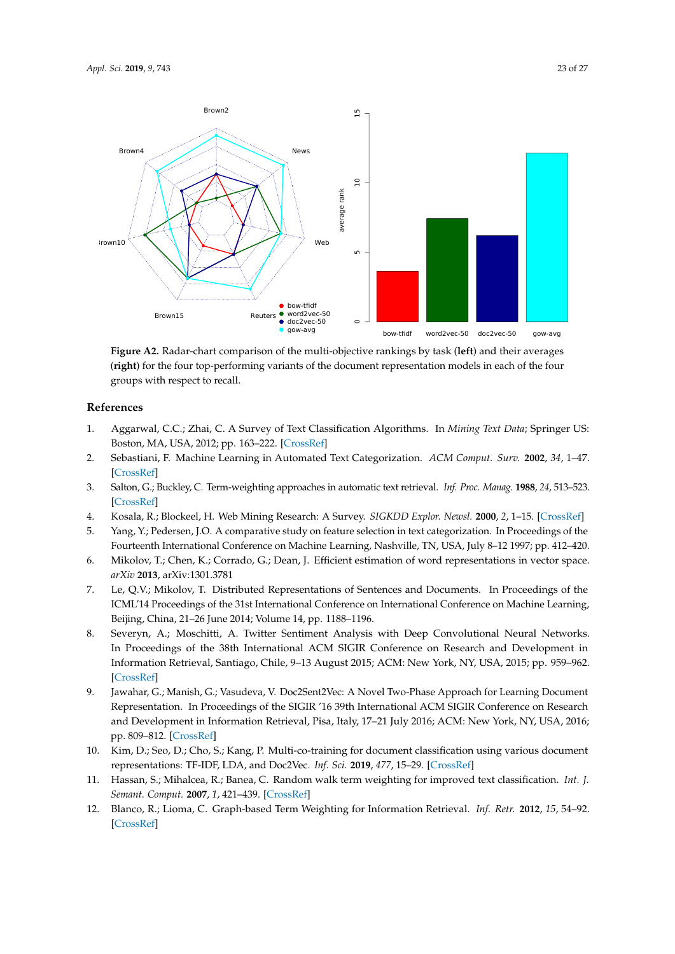<span id="page-22-12"></span>

**Figure A2.** Radar-chart comparison of the multi-objective rankings by task (**left**) and their averages (**right**) for the four top-performing variants of the document representation models in each of the four groups with respect to recall.

# **References**

- <span id="page-22-0"></span>1. Aggarwal, C.C.; Zhai, C. A Survey of Text Classification Algorithms. In *Mining Text Data*; Springer US: Boston, MA, USA, 2012; pp. 163–222. [\[CrossRef\]](http://dx.doi.org/10.1007/978-1-4614-3223-4_6)
- <span id="page-22-1"></span>2. Sebastiani, F. Machine Learning in Automated Text Categorization. *ACM Comput. Surv.* **2002**, *34*, 1–47. [\[CrossRef\]](http://dx.doi.org/10.1145/505282.505283)
- <span id="page-22-2"></span>3. Salton, G.; Buckley, C. Term-weighting approaches in automatic text retrieval. *Inf. Proc. Manag.* **1988**, *24*, 513–523. [\[CrossRef\]](http://dx.doi.org/10.1016/0306-4573(88)90021-0)
- <span id="page-22-3"></span>4. Kosala, R.; Blockeel, H. Web Mining Research: A Survey. *SIGKDD Explor. Newsl.* **2000**, *2*, 1–15. [\[CrossRef\]](http://dx.doi.org/10.1145/360402.360406)
- <span id="page-22-4"></span>5. Yang, Y.; Pedersen, J.O. A comparative study on feature selection in text categorization. In Proceedings of the Fourteenth International Conference on Machine Learning, Nashville, TN, USA, July 8–12 1997; pp. 412–420.
- <span id="page-22-5"></span>6. Mikolov, T.; Chen, K.; Corrado, G.; Dean, J. Efficient estimation of word representations in vector space. *arXiv* **2013**, arXiv:1301.3781
- <span id="page-22-6"></span>7. Le, Q.V.; Mikolov, T. Distributed Representations of Sentences and Documents. In Proceedings of the ICML'14 Proceedings of the 31st International Conference on International Conference on Machine Learning, Beijing, China, 21–26 June 2014; Volume 14, pp. 1188–1196.
- <span id="page-22-7"></span>8. Severyn, A.; Moschitti, A. Twitter Sentiment Analysis with Deep Convolutional Neural Networks. In Proceedings of the 38th International ACM SIGIR Conference on Research and Development in Information Retrieval, Santiago, Chile, 9–13 August 2015; ACM: New York, NY, USA, 2015; pp. 959–962. [\[CrossRef\]](http://dx.doi.org/10.1145/2766462.2767830)
- <span id="page-22-8"></span>9. Jawahar, G.; Manish, G.; Vasudeva, V. Doc2Sent2Vec: A Novel Two-Phase Approach for Learning Document Representation. In Proceedings of the SIGIR '16 39th International ACM SIGIR Conference on Research and Development in Information Retrieval, Pisa, Italy, 17–21 July 2016; ACM: New York, NY, USA, 2016; pp. 809–812. [\[CrossRef\]](http://dx.doi.org/10.1145/2911451.2914717)
- <span id="page-22-9"></span>10. Kim, D.; Seo, D.; Cho, S.; Kang, P. Multi-co-training for document classification using various document representations: TF-IDF, LDA, and Doc2Vec. *Inf. Sci.* **2019**, *477*, 15–29. [\[CrossRef\]](http://dx.doi.org/10.1016/j.ins.2018.10.006)
- <span id="page-22-10"></span>11. Hassan, S.; Mihalcea, R.; Banea, C. Random walk term weighting for improved text classification. *Int. J. Semant. Comput.* **2007**, *1*, 421–439. [\[CrossRef\]](http://dx.doi.org/10.1142/S1793351X07000263)
- <span id="page-22-11"></span>12. Blanco, R.; Lioma, C. Graph-based Term Weighting for Information Retrieval. *Inf. Retr.* **2012**, *15*, 54–92. [\[CrossRef\]](http://dx.doi.org/10.1007/s10791-011-9172-x)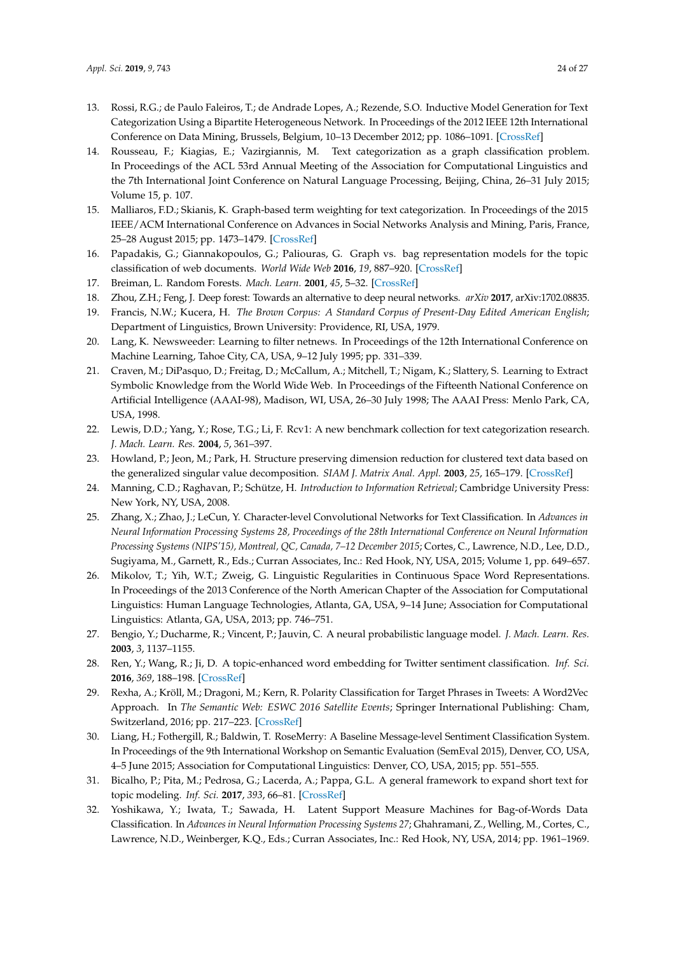- <span id="page-23-16"></span>13. Rossi, R.G.; de Paulo Faleiros, T.; de Andrade Lopes, A.; Rezende, S.O. Inductive Model Generation for Text Categorization Using a Bipartite Heterogeneous Network. In Proceedings of the 2012 IEEE 12th International Conference on Data Mining, Brussels, Belgium, 10–13 December 2012; pp. 1086–1091. [\[CrossRef\]](http://dx.doi.org/10.1109/ICDM.2012.130)
- <span id="page-23-15"></span>14. Rousseau, F.; Kiagias, E.; Vazirgiannis, M. Text categorization as a graph classification problem. In Proceedings of the ACL 53rd Annual Meeting of the Association for Computational Linguistics and the 7th International Joint Conference on Natural Language Processing, Beijing, China, 26–31 July 2015; Volume 15, p. 107.
- <span id="page-23-14"></span>15. Malliaros, F.D.; Skianis, K. Graph-based term weighting for text categorization. In Proceedings of the 2015 IEEE/ACM International Conference on Advances in Social Networks Analysis and Mining, Paris, France, 25–28 August 2015; pp. 1473–1479. [\[CrossRef\]](http://dx.doi.org/10.1145/2808797.2808872)
- <span id="page-23-0"></span>16. Papadakis, G.; Giannakopoulos, G.; Paliouras, G. Graph vs. bag representation models for the topic classification of web documents. *World Wide Web* **2016**, *19*, 887–920. [\[CrossRef\]](http://dx.doi.org/10.1007/s11280-015-0365-x)
- <span id="page-23-1"></span>17. Breiman, L. Random Forests. *Mach. Learn.* **2001**, *45*, 5–32. [\[CrossRef\]](http://dx.doi.org/10.1023/A:1010933404324)
- <span id="page-23-2"></span>18. Zhou, Z.H.; Feng, J. Deep forest: Towards an alternative to deep neural networks. *arXiv* **2017**, arXiv:1702.08835.
- <span id="page-23-3"></span>19. Francis, N.W.; Kucera, H. *The Brown Corpus: A Standard Corpus of Present-Day Edited American English*; Department of Linguistics, Brown University: Providence, RI, USA, 1979.
- <span id="page-23-17"></span>20. Lang, K. Newsweeder: Learning to filter netnews. In Proceedings of the 12th International Conference on Machine Learning, Tahoe City, CA, USA, 9–12 July 1995; pp. 331–339.
- 21. Craven, M.; DiPasquo, D.; Freitag, D.; McCallum, A.; Mitchell, T.; Nigam, K.; Slattery, S. Learning to Extract Symbolic Knowledge from the World Wide Web. In Proceedings of the Fifteenth National Conference on Artificial Intelligence (AAAI-98), Madison, WI, USA, 26–30 July 1998; The AAAI Press: Menlo Park, CA, USA, 1998.
- <span id="page-23-4"></span>22. Lewis, D.D.; Yang, Y.; Rose, T.G.; Li, F. Rcv1: A new benchmark collection for text categorization research. *J. Mach. Learn. Res.* **2004**, *5*, 361–397.
- <span id="page-23-5"></span>23. Howland, P.; Jeon, M.; Park, H. Structure preserving dimension reduction for clustered text data based on the generalized singular value decomposition. *SIAM J. Matrix Anal. Appl.* **2003**, *25*, 165–179. [\[CrossRef\]](http://dx.doi.org/10.1137/S0895479801393666)
- <span id="page-23-6"></span>24. Manning, C.D.; Raghavan, P.; Schütze, H. *Introduction to Information Retrieval*; Cambridge University Press: New York, NY, USA, 2008.
- <span id="page-23-7"></span>25. Zhang, X.; Zhao, J.; LeCun, Y. Character-level Convolutional Networks for Text Classification. In *Advances in Neural Information Processing Systems 28, Proceedings of the 28th International Conference on Neural Information Processing Systems (NIPS'15), Montreal, QC, Canada, 7–12 December 2015*; Cortes, C., Lawrence, N.D., Lee, D.D., Sugiyama, M., Garnett, R., Eds.; Curran Associates, Inc.: Red Hook, NY, USA, 2015; Volume 1, pp. 649–657.
- <span id="page-23-8"></span>26. Mikolov, T.; Yih, W.T.; Zweig, G. Linguistic Regularities in Continuous Space Word Representations. In Proceedings of the 2013 Conference of the North American Chapter of the Association for Computational Linguistics: Human Language Technologies, Atlanta, GA, USA, 9–14 June; Association for Computational Linguistics: Atlanta, GA, USA, 2013; pp. 746–751.
- <span id="page-23-9"></span>27. Bengio, Y.; Ducharme, R.; Vincent, P.; Jauvin, C. A neural probabilistic language model. *J. Mach. Learn. Res.* **2003**, *3*, 1137–1155.
- <span id="page-23-10"></span>28. Ren, Y.; Wang, R.; Ji, D. A topic-enhanced word embedding for Twitter sentiment classification. *Inf. Sci.* **2016**, *369*, 188–198. [\[CrossRef\]](http://dx.doi.org/10.1016/j.ins.2016.06.040)
- 29. Rexha, A.; Kröll, M.; Dragoni, M.; Kern, R. Polarity Classification for Target Phrases in Tweets: A Word2Vec Approach. In *The Semantic Web: ESWC 2016 Satellite Events*; Springer International Publishing: Cham, Switzerland, 2016; pp. 217–223. [\[CrossRef\]](http://dx.doi.org/10.1007/978-3-319-47602-5_40)
- <span id="page-23-11"></span>30. Liang, H.; Fothergill, R.; Baldwin, T. RoseMerry: A Baseline Message-level Sentiment Classification System. In Proceedings of the 9th International Workshop on Semantic Evaluation (SemEval 2015), Denver, CO, USA, 4–5 June 2015; Association for Computational Linguistics: Denver, CO, USA, 2015; pp. 551–555.
- <span id="page-23-12"></span>31. Bicalho, P.; Pita, M.; Pedrosa, G.; Lacerda, A.; Pappa, G.L. A general framework to expand short text for topic modeling. *Inf. Sci.* **2017**, *393*, 66–81. [\[CrossRef\]](http://dx.doi.org/10.1016/j.ins.2017.02.007)
- <span id="page-23-13"></span>32. Yoshikawa, Y.; Iwata, T.; Sawada, H. Latent Support Measure Machines for Bag-of-Words Data Classification. In *Advances in Neural Information Processing Systems 27*; Ghahramani, Z., Welling, M., Cortes, C., Lawrence, N.D., Weinberger, K.Q., Eds.; Curran Associates, Inc.: Red Hook, NY, USA, 2014; pp. 1961–1969.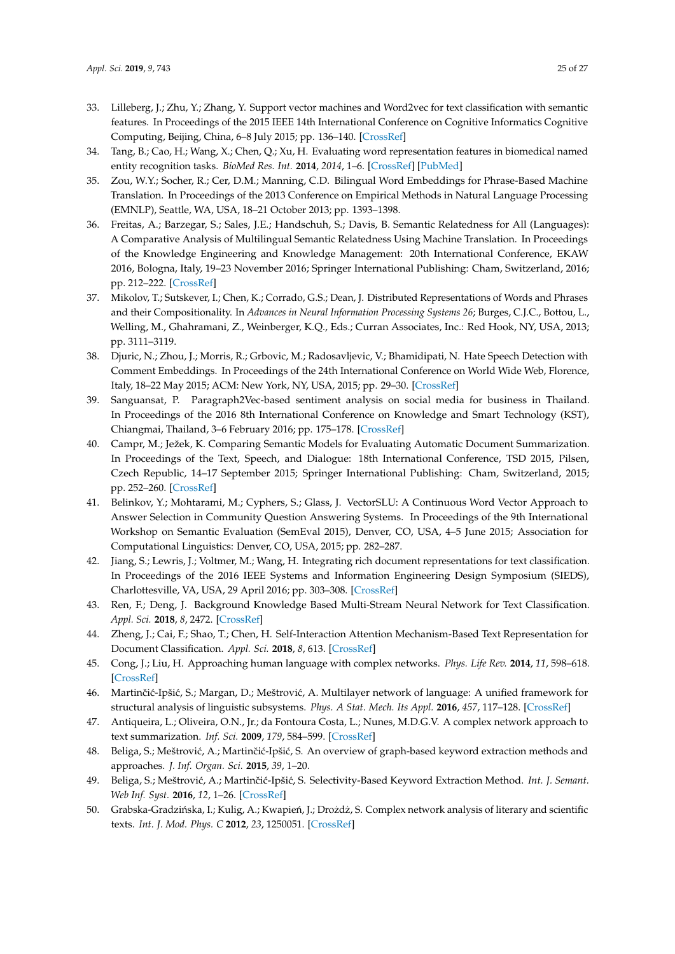- <span id="page-24-0"></span>33. Lilleberg, J.; Zhu, Y.; Zhang, Y. Support vector machines and Word2vec for text classification with semantic features. In Proceedings of the 2015 IEEE 14th International Conference on Cognitive Informatics Cognitive Computing, Beijing, China, 6–8 July 2015; pp. 136–140. [\[CrossRef\]](http://dx.doi.org/10.1109/ICCI-CC.2015.7259377)
- <span id="page-24-1"></span>34. Tang, B.; Cao, H.; Wang, X.; Chen, Q.; Xu, H. Evaluating word representation features in biomedical named entity recognition tasks. *BioMed Res. Int.* **2014**, *2014*, 1–6. [\[CrossRef\]](http://dx.doi.org/10.1155/2014/240403) [\[PubMed\]](http://www.ncbi.nlm.nih.gov/pubmed/24729964)
- <span id="page-24-2"></span>35. Zou, W.Y.; Socher, R.; Cer, D.M.; Manning, C.D. Bilingual Word Embeddings for Phrase-Based Machine Translation. In Proceedings of the 2013 Conference on Empirical Methods in Natural Language Processing (EMNLP), Seattle, WA, USA, 18–21 October 2013; pp. 1393–1398.
- <span id="page-24-3"></span>36. Freitas, A.; Barzegar, S.; Sales, J.E.; Handschuh, S.; Davis, B. Semantic Relatedness for All (Languages): A Comparative Analysis of Multilingual Semantic Relatedness Using Machine Translation. In Proceedings of the Knowledge Engineering and Knowledge Management: 20th International Conference, EKAW 2016, Bologna, Italy, 19–23 November 2016; Springer International Publishing: Cham, Switzerland, 2016; pp. 212–222. [\[CrossRef\]](http://dx.doi.org/10.1007/978-3-319-49004-5_14)
- <span id="page-24-4"></span>37. Mikolov, T.; Sutskever, I.; Chen, K.; Corrado, G.S.; Dean, J. Distributed Representations of Words and Phrases and their Compositionality. In *Advances in Neural Information Processing Systems 26*; Burges, C.J.C., Bottou, L., Welling, M., Ghahramani, Z., Weinberger, K.Q., Eds.; Curran Associates, Inc.: Red Hook, NY, USA, 2013; pp. 3111–3119.
- <span id="page-24-5"></span>38. Djuric, N.; Zhou, J.; Morris, R.; Grbovic, M.; Radosavljevic, V.; Bhamidipati, N. Hate Speech Detection with Comment Embeddings. In Proceedings of the 24th International Conference on World Wide Web, Florence, Italy, 18–22 May 2015; ACM: New York, NY, USA, 2015; pp. 29–30. [\[CrossRef\]](http://dx.doi.org/10.1145/2740908.2742760)
- <span id="page-24-6"></span>39. Sanguansat, P. Paragraph2Vec-based sentiment analysis on social media for business in Thailand. In Proceedings of the 2016 8th International Conference on Knowledge and Smart Technology (KST), Chiangmai, Thailand, 3–6 February 2016; pp. 175–178. [\[CrossRef\]](http://dx.doi.org/10.1109/KST.2016.7440526)
- <span id="page-24-7"></span>40. Campr, M.; Ježek, K. Comparing Semantic Models for Evaluating Automatic Document Summarization. In Proceedings of the Text, Speech, and Dialogue: 18th International Conference, TSD 2015, Pilsen, Czech Republic, 14–17 September 2015; Springer International Publishing: Cham, Switzerland, 2015; pp. 252–260. [\[CrossRef\]](http://dx.doi.org/10.1007/978-3-319-24033-6_29)
- <span id="page-24-8"></span>41. Belinkov, Y.; Mohtarami, M.; Cyphers, S.; Glass, J. VectorSLU: A Continuous Word Vector Approach to Answer Selection in Community Question Answering Systems. In Proceedings of the 9th International Workshop on Semantic Evaluation (SemEval 2015), Denver, CO, USA, 4–5 June 2015; Association for Computational Linguistics: Denver, CO, USA, 2015; pp. 282–287.
- <span id="page-24-9"></span>42. Jiang, S.; Lewris, J.; Voltmer, M.; Wang, H. Integrating rich document representations for text classification. In Proceedings of the 2016 IEEE Systems and Information Engineering Design Symposium (SIEDS), Charlottesville, VA, USA, 29 April 2016; pp. 303–308. [\[CrossRef\]](http://dx.doi.org/10.1109/SIEDS.2016.7489319)
- <span id="page-24-10"></span>43. Ren, F.; Deng, J. Background Knowledge Based Multi-Stream Neural Network for Text Classification. *Appl. Sci.* **2018**, *8*, 2472. [\[CrossRef\]](http://dx.doi.org/10.3390/app8122472)
- <span id="page-24-11"></span>44. Zheng, J.; Cai, F.; Shao, T.; Chen, H. Self-Interaction Attention Mechanism-Based Text Representation for Document Classification. *Appl. Sci.* **2018**, *8*, 613. [\[CrossRef\]](http://dx.doi.org/10.3390/app8040613)
- <span id="page-24-12"></span>45. Cong, J.; Liu, H. Approaching human language with complex networks. *Phys. Life Rev.* **2014**, *11*, 598–618. [\[CrossRef\]](http://dx.doi.org/10.1016/j.plrev.2014.04.004)
- <span id="page-24-13"></span>46. Martinčić-Ipšić, S.; Margan, D.; Meštrović, A. Multilayer network of language: A unified framework for structural analysis of linguistic subsystems. *Phys. A Stat. Mech. Its Appl.* **2016**, *457*, 117–128. [\[CrossRef\]](http://dx.doi.org/10.1016/j.physa.2016.03.082)
- <span id="page-24-14"></span>47. Antiqueira, L.; Oliveira, O.N., Jr.; da Fontoura Costa, L.; Nunes, M.D.G.V. A complex network approach to text summarization. *Inf. Sci.* **2009**, *179*, 584–599. [\[CrossRef\]](http://dx.doi.org/10.1016/j.ins.2008.10.032)
- <span id="page-24-15"></span>48. Beliga, S.; Meštrović, A.; Martinčić-Ipšić, S. An overview of graph-based keyword extraction methods and approaches. *J. Inf. Organ. Sci.* **2015**, *39*, 1–20.
- <span id="page-24-16"></span>49. Beliga, S.; Meštrović, A.; Martinčić-Ipšić, S. Selectivity-Based Keyword Extraction Method. Int. J. Semant. *Web Inf. Syst.* **2016**, *12*, 1–26. [\[CrossRef\]](http://dx.doi.org/10.4018/IJSWIS.2016070101)
- <span id="page-24-17"></span>50. Grabska-Gradzińska, I.; Kulig, A.; Kwapień, J.; Drozdż, S. Complex network analysis of literary and scientific texts. *Int. J. Mod. Phys. C* **2012**, *23*, 1250051. [\[CrossRef\]](http://dx.doi.org/10.1142/S0129183112500519)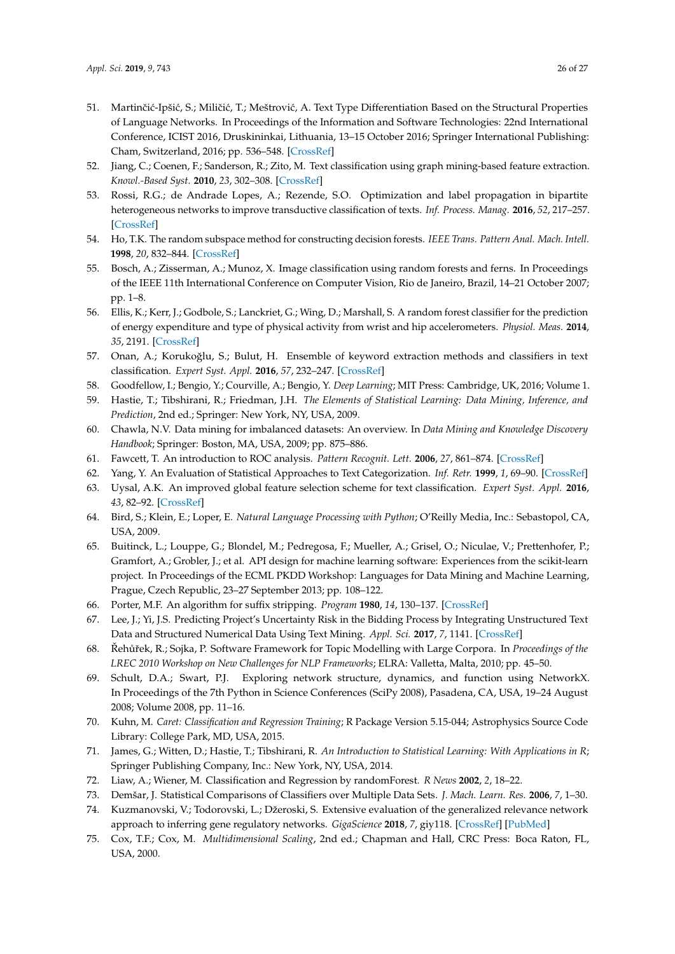- <span id="page-25-0"></span>51. Martinčić-Ipšić, S.; Miličić, T.; Meštrović, A. Text Type Differentiation Based on the Structural Properties of Language Networks. In Proceedings of the Information and Software Technologies: 22nd International Conference, ICIST 2016, Druskininkai, Lithuania, 13–15 October 2016; Springer International Publishing: Cham, Switzerland, 2016; pp. 536–548. [\[CrossRef\]](http://dx.doi.org/10.1007/978-3-319-46254-7_43)
- <span id="page-25-1"></span>52. Jiang, C.; Coenen, F.; Sanderson, R.; Zito, M. Text classification using graph mining-based feature extraction. *Knowl.-Based Syst.* **2010**, *23*, 302–308. [\[CrossRef\]](http://dx.doi.org/10.1016/j.knosys.2009.11.010)
- <span id="page-25-2"></span>53. Rossi, R.G.; de Andrade Lopes, A.; Rezende, S.O. Optimization and label propagation in bipartite heterogeneous networks to improve transductive classification of texts. *Inf. Process. Manag.* **2016**, *52*, 217–257. [\[CrossRef\]](http://dx.doi.org/10.1016/j.ipm.2015.07.004)
- <span id="page-25-3"></span>54. Ho, T.K. The random subspace method for constructing decision forests. *IEEE Trans. Pattern Anal. Mach. Intell.* **1998**, *20*, 832–844. [\[CrossRef\]](http://dx.doi.org/10.1109/34.709601)
- <span id="page-25-4"></span>55. Bosch, A.; Zisserman, A.; Munoz, X. Image classification using random forests and ferns. In Proceedings of the IEEE 11th International Conference on Computer Vision, Rio de Janeiro, Brazil, 14–21 October 2007; pp. 1–8.
- 56. Ellis, K.; Kerr, J.; Godbole, S.; Lanckriet, G.; Wing, D.; Marshall, S. A random forest classifier for the prediction of energy expenditure and type of physical activity from wrist and hip accelerometers. *Physiol. Meas.* **2014**, *35*, 2191. [\[CrossRef\]](http://dx.doi.org/10.1088/0967-3334/35/11/2191)
- <span id="page-25-5"></span>57. Onan, A.; Korukoğlu, S.; Bulut, H. Ensemble of keyword extraction methods and classifiers in text classification. *Expert Syst. Appl.* **2016**, *57*, 232–247. [\[CrossRef\]](http://dx.doi.org/10.1016/j.eswa.2016.03.045)
- <span id="page-25-6"></span>58. Goodfellow, I.; Bengio, Y.; Courville, A.; Bengio, Y. *Deep Learning*; MIT Press: Cambridge, UK, 2016; Volume 1.
- <span id="page-25-7"></span>59. Hastie, T.; Tibshirani, R.; Friedman, J.H. *The Elements of Statistical Learning: Data Mining, Inference, and Prediction*, 2nd ed.; Springer: New York, NY, USA, 2009.
- <span id="page-25-8"></span>60. Chawla, N.V. Data mining for imbalanced datasets: An overview. In *Data Mining and Knowledge Discovery Handbook*; Springer: Boston, MA, USA, 2009; pp. 875–886.
- <span id="page-25-9"></span>61. Fawcett, T. An introduction to ROC analysis. *Pattern Recognit. Lett.* **2006**, *27*, 861–874. [\[CrossRef\]](http://dx.doi.org/10.1016/j.patrec.2005.10.010)
- <span id="page-25-10"></span>62. Yang, Y. An Evaluation of Statistical Approaches to Text Categorization. *Inf. Retr.* **1999**, *1*, 69–90. [\[CrossRef\]](http://dx.doi.org/10.1023/A:1009982220290)
- <span id="page-25-11"></span>63. Uysal, A.K. An improved global feature selection scheme for text classification. *Expert Syst. Appl.* **2016**, *43*, 82–92. [\[CrossRef\]](http://dx.doi.org/10.1016/j.eswa.2015.08.050)
- <span id="page-25-12"></span>64. Bird, S.; Klein, E.; Loper, E. *Natural Language Processing with Python*; O'Reilly Media, Inc.: Sebastopol, CA, USA, 2009.
- <span id="page-25-13"></span>65. Buitinck, L.; Louppe, G.; Blondel, M.; Pedregosa, F.; Mueller, A.; Grisel, O.; Niculae, V.; Prettenhofer, P.; Gramfort, A.; Grobler, J.; et al. API design for machine learning software: Experiences from the scikit-learn project. In Proceedings of the ECML PKDD Workshop: Languages for Data Mining and Machine Learning, Prague, Czech Republic, 23–27 September 2013; pp. 108–122.
- <span id="page-25-14"></span>66. Porter, M.F. An algorithm for suffix stripping. *Program* **1980**, *14*, 130–137. [\[CrossRef\]](http://dx.doi.org/10.1108/eb046814)
- <span id="page-25-15"></span>67. Lee, J.; Yi, J.S. Predicting Project's Uncertainty Risk in the Bidding Process by Integrating Unstructured Text Data and Structured Numerical Data Using Text Mining. *Appl. Sci.* **2017**, *7*, 1141. [\[CrossRef\]](http://dx.doi.org/10.3390/app7111141)
- <span id="page-25-16"></span>68. Řehůřek, R.; Sojka, P. Software Framework for Topic Modelling with Large Corpora. In Proceedings of the *LREC 2010 Workshop on New Challenges for NLP Frameworks*; ELRA: Valletta, Malta, 2010; pp. 45–50.
- <span id="page-25-17"></span>69. Schult, D.A.; Swart, P.J. Exploring network structure, dynamics, and function using NetworkX. In Proceedings of the 7th Python in Science Conferences (SciPy 2008), Pasadena, CA, USA, 19–24 August 2008; Volume 2008, pp. 11–16.
- <span id="page-25-18"></span>70. Kuhn, M. *Caret: Classification and Regression Training*; R Package Version 5.15-044; Astrophysics Source Code Library: College Park, MD, USA, 2015.
- <span id="page-25-19"></span>71. James, G.; Witten, D.; Hastie, T.; Tibshirani, R. *An Introduction to Statistical Learning: With Applications in R*; Springer Publishing Company, Inc.: New York, NY, USA, 2014.
- <span id="page-25-20"></span>72. Liaw, A.; Wiener, M. Classification and Regression by randomForest. *R News* **2002**, *2*, 18–22.
- <span id="page-25-21"></span>73. Demšar, J. Statistical Comparisons of Classifiers over Multiple Data Sets. *J. Mach. Learn. Res.* **2006**, *7*, 1–30.
- <span id="page-25-22"></span>74. Kuzmanovski, V.; Todorovski, L.; Džeroski, S. Extensive evaluation of the generalized relevance network approach to inferring gene regulatory networks. *GigaScience* **2018**, *7*, giy118. [\[CrossRef\]](http://dx.doi.org/10.1093/gigascience/giy118) [\[PubMed\]](http://www.ncbi.nlm.nih.gov/pubmed/30239704)
- <span id="page-25-23"></span>75. Cox, T.F.; Cox, M. *Multidimensional Scaling*, 2nd ed.; Chapman and Hall, CRC Press: Boca Raton, FL, USA, 2000.